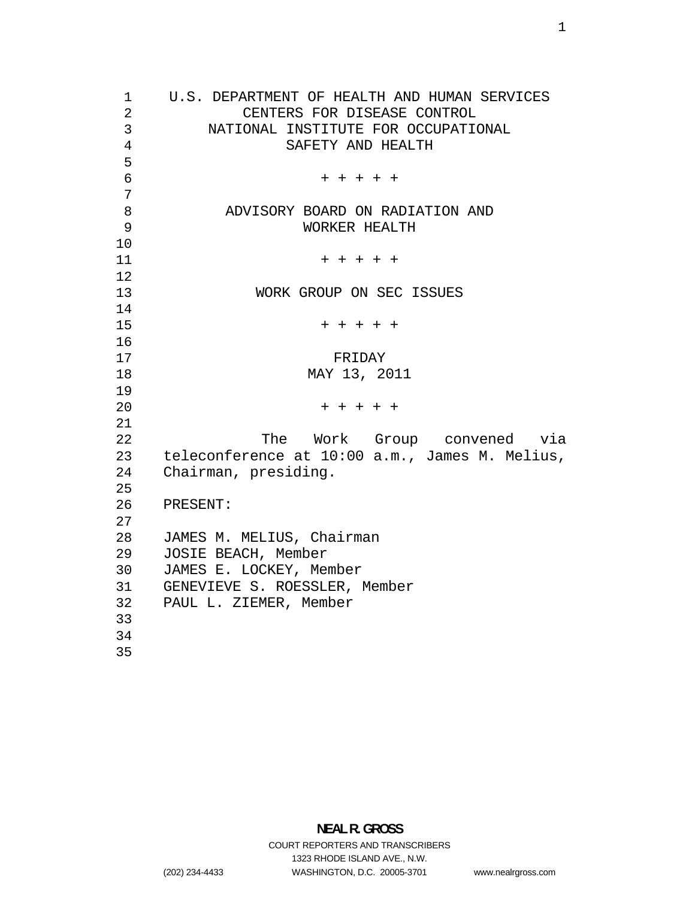U.S. DEPARTMENT OF HEALTH AND HUMAN SERVICES CENTERS FOR DISEASE CONTROL NATIONAL INSTITUTE FOR OCCUPATIONAL SAFETY AND HEALTH + + + + + ADVISORY BOARD ON RADIATION AND WORKER HEALTH + + + + + 13 WORK GROUP ON SEC ISSUES + + + + + 17 FRIDAY MAY 13, 2011 + + + + + The Work Group convened via teleconference at 10:00 a.m., James M. Melius, Chairman, presiding. PRESENT: JAMES M. MELIUS, Chairman JOSIE BEACH, Member JAMES E. LOCKEY, Member GENEVIEVE S. ROESSLER, Member PAUL L. ZIEMER, Member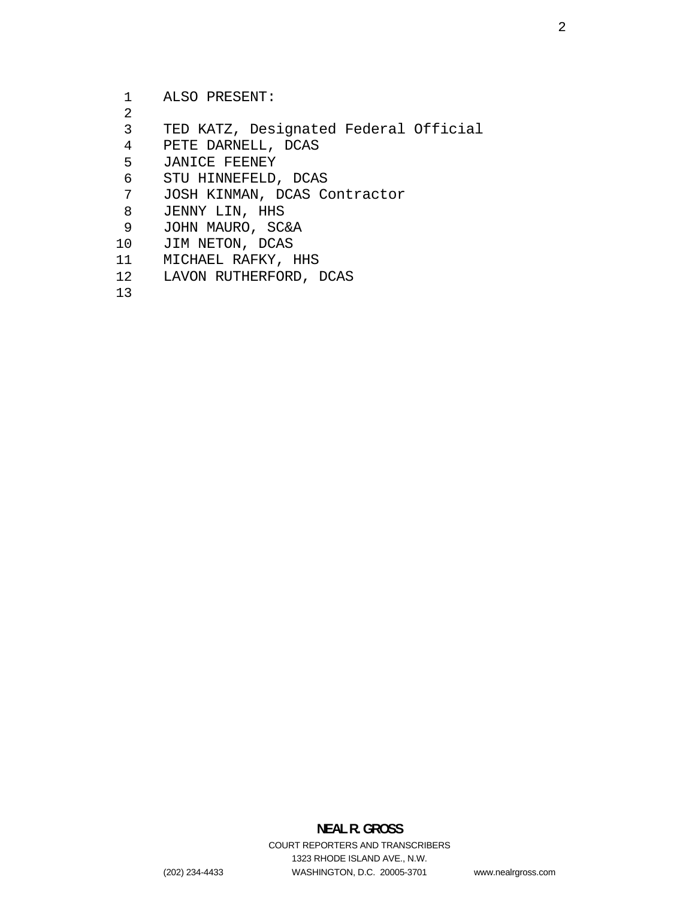ALSO PRESENT:

- 
- TED KATZ, Designated Federal Official
- PETE DARNELL, DCAS
- JANICE FEENEY
- STU HINNEFELD, DCAS
- JOSH KINMAN, DCAS Contractor
- JENNY LIN, HHS
- JOHN MAURO, SC&A
- JIM NETON, DCAS
- MICHAEL RAFKY, HHS
- LAVON RUTHERFORD, DCAS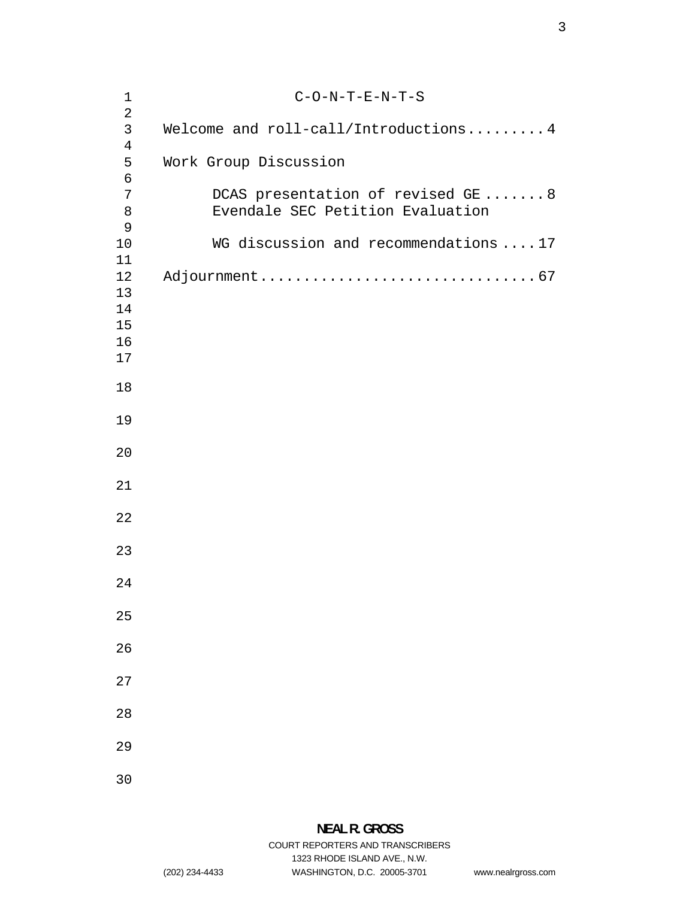| $1\,$                                            | $C-O-N-T-E-N-T-S$                                                     |
|--------------------------------------------------|-----------------------------------------------------------------------|
| $\overline{2}$<br>$\mathsf{3}$<br>$\overline{4}$ | Welcome and roll-call/Introductions 4                                 |
| 5<br>$\epsilon$                                  | Work Group Discussion                                                 |
| 7<br>8<br>9                                      | DCAS presentation of revised GE 8<br>Evendale SEC Petition Evaluation |
| 10<br>11                                         | WG discussion and recommendations  17                                 |
| 12<br>13<br>14<br>15<br>16<br>17                 |                                                                       |
| 18                                               |                                                                       |
| 19                                               |                                                                       |
| 20                                               |                                                                       |
| 21                                               |                                                                       |
| 22                                               |                                                                       |
| 23                                               |                                                                       |
| 24                                               |                                                                       |
| 25                                               |                                                                       |
| 26                                               |                                                                       |
| 27                                               |                                                                       |
| 28                                               |                                                                       |
| 29                                               |                                                                       |
| 30                                               |                                                                       |

1323 RHODE ISLAND AVE., N.W.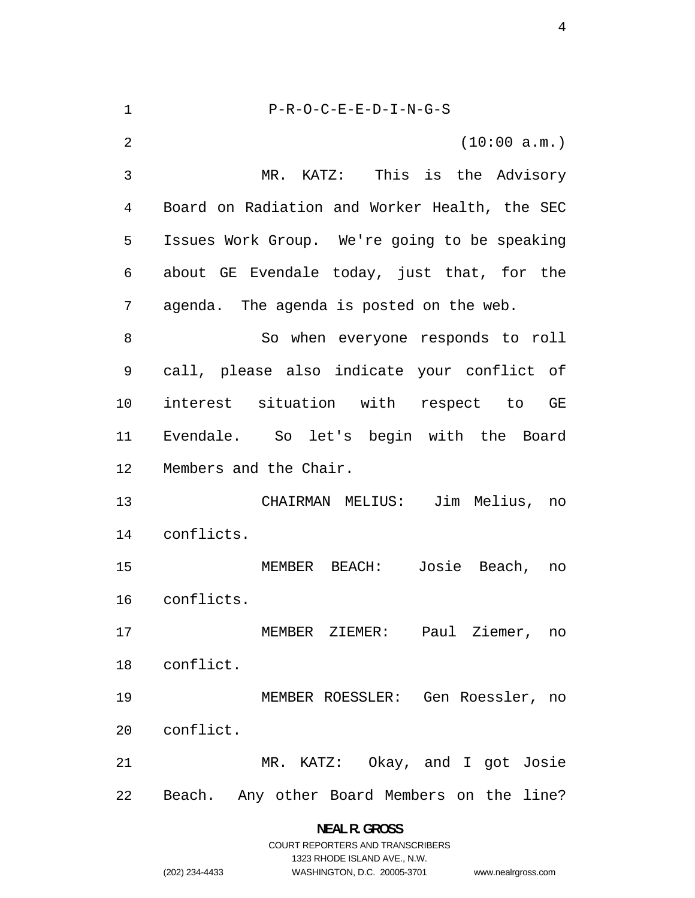P-R-O-C-E-E-D-I-N-G-S (10:00 a.m.) MR. KATZ: This is the Advisory Board on Radiation and Worker Health, the SEC Issues Work Group. We're going to be speaking about GE Evendale today, just that, for the agenda. The agenda is posted on the web. 8 So when everyone responds to roll call, please also indicate your conflict of interest situation with respect to GE Evendale. So let's begin with the Board Members and the Chair. CHAIRMAN MELIUS: Jim Melius, no conflicts. MEMBER BEACH: Josie Beach, no conflicts. MEMBER ZIEMER: Paul Ziemer, no conflict. MEMBER ROESSLER: Gen Roessler, no conflict. MR. KATZ: Okay, and I got Josie Beach. Any other Board Members on the line?

> **NEAL R. GROSS**  COURT REPORTERS AND TRANSCRIBERS 1323 RHODE ISLAND AVE., N.W. (202) 234-4433 WASHINGTON, D.C. 20005-3701 www.nealrgross.com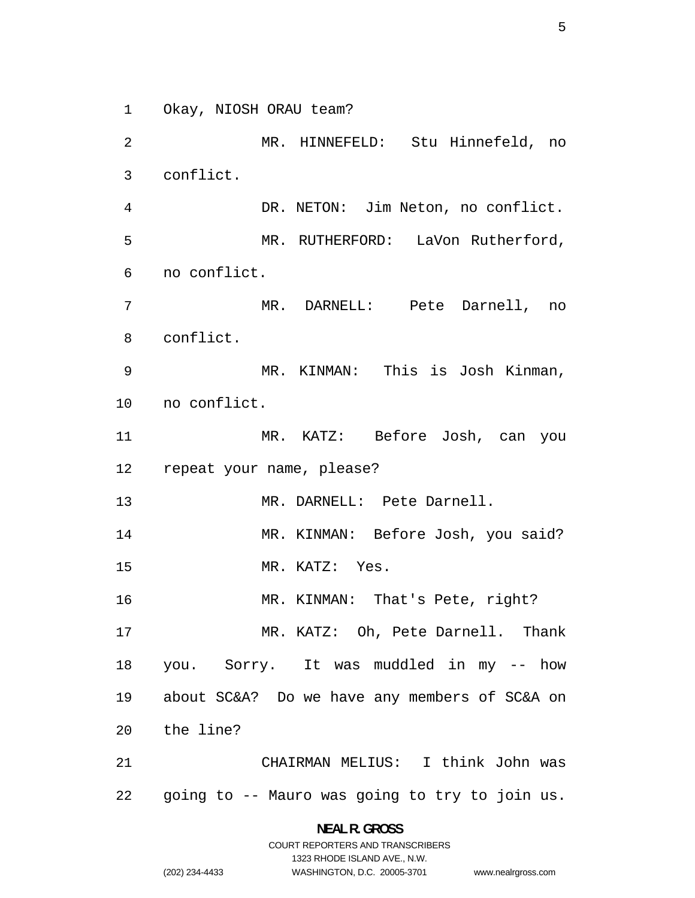Okay, NIOSH ORAU team?

MR. HINNEFELD: Stu Hinnefeld, no conflict. DR. NETON: Jim Neton, no conflict. MR. RUTHERFORD: LaVon Rutherford, no conflict. MR. DARNELL: Pete Darnell, no conflict. MR. KINMAN: This is Josh Kinman, no conflict. MR. KATZ: Before Josh, can you repeat your name, please? MR. DARNELL: Pete Darnell. 14 MR. KINMAN: Before Josh, you said? MR. KATZ: Yes. 16 MR. KINMAN: That's Pete, right? MR. KATZ: Oh, Pete Darnell. Thank you. Sorry. It was muddled in my -- how about SC&A? Do we have any members of SC&A on the line? CHAIRMAN MELIUS: I think John was going to -- Mauro was going to try to join us.

> **NEAL R. GROSS**  COURT REPORTERS AND TRANSCRIBERS

> > 1323 RHODE ISLAND AVE., N.W.

(202) 234-4433 WASHINGTON, D.C. 20005-3701 www.nealrgross.com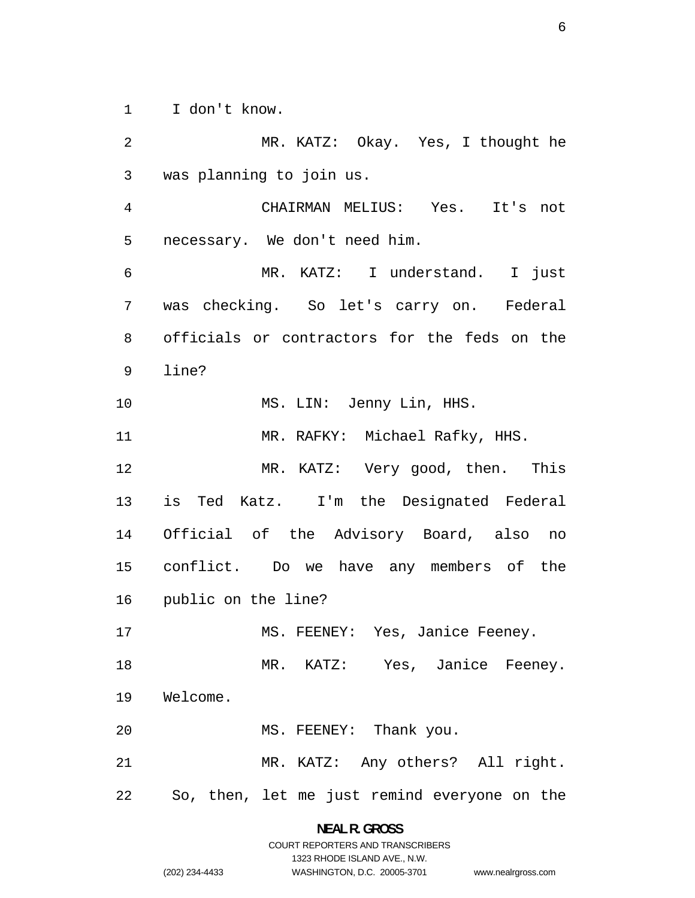I don't know.

MR. KATZ: Okay. Yes, I thought he was planning to join us. CHAIRMAN MELIUS: Yes. It's not necessary. We don't need him. MR. KATZ: I understand. I just was checking. So let's carry on. Federal officials or contractors for the feds on the line? 10 MS. LIN: Jenny Lin, HHS. MR. RAFKY: Michael Rafky, HHS. MR. KATZ: Very good, then. This is Ted Katz. I'm the Designated Federal Official of the Advisory Board, also no conflict. Do we have any members of the public on the line? 17 MS. FEENEY: Yes, Janice Feeney. 18 MR. KATZ: Yes, Janice Feeney. Welcome. 20 MS. FEENEY: Thank you. MR. KATZ: Any others? All right. So, then, let me just remind everyone on the

> **NEAL R. GROSS**  COURT REPORTERS AND TRANSCRIBERS 1323 RHODE ISLAND AVE., N.W. (202) 234-4433 WASHINGTON, D.C. 20005-3701 www.nealrgross.com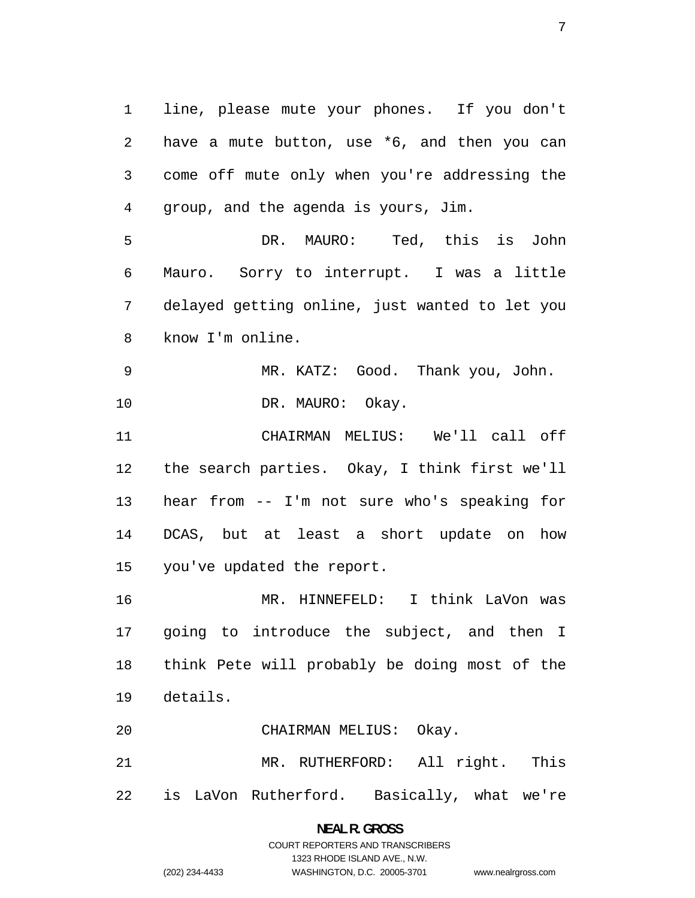line, please mute your phones. If you don't have a mute button, use \*6, and then you can come off mute only when you're addressing the group, and the agenda is yours, Jim.

DR. MAURO: Ted, this is John Mauro. Sorry to interrupt. I was a little delayed getting online, just wanted to let you know I'm online.

MR. KATZ: Good. Thank you, John. 10 DR. MAURO: Okay.

CHAIRMAN MELIUS: We'll call off the search parties. Okay, I think first we'll hear from -- I'm not sure who's speaking for DCAS, but at least a short update on how you've updated the report.

MR. HINNEFELD: I think LaVon was going to introduce the subject, and then I think Pete will probably be doing most of the details.

CHAIRMAN MELIUS: Okay.

MR. RUTHERFORD: All right. This is LaVon Rutherford. Basically, what we're

# **NEAL R. GROSS**  COURT REPORTERS AND TRANSCRIBERS 1323 RHODE ISLAND AVE., N.W. (202) 234-4433 WASHINGTON, D.C. 20005-3701 www.nealrgross.com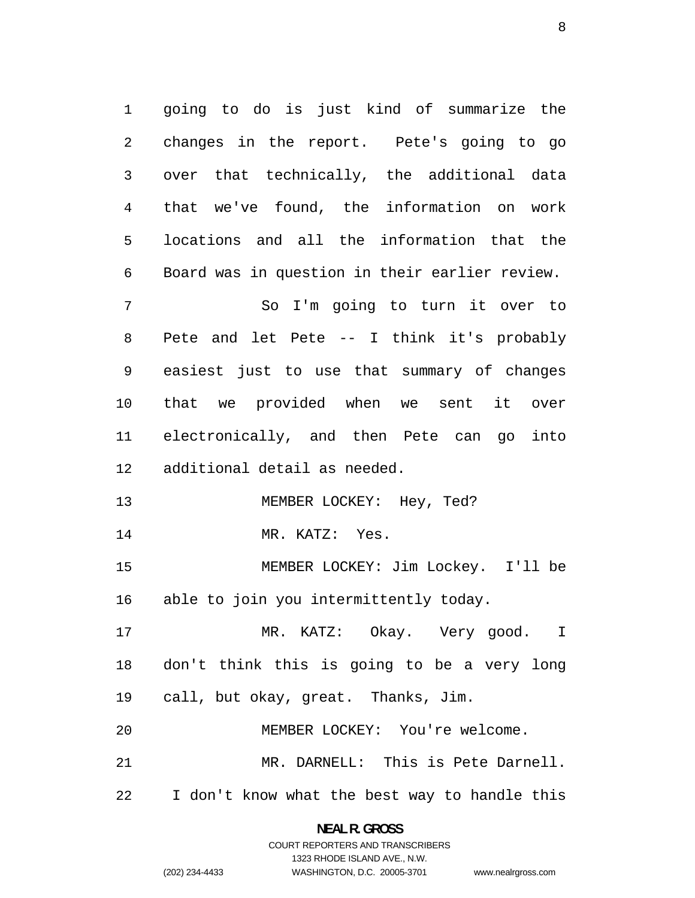going to do is just kind of summarize the changes in the report. Pete's going to go over that technically, the additional data that we've found, the information on work locations and all the information that the Board was in question in their earlier review. So I'm going to turn it over to Pete and let Pete -- I think it's probably

easiest just to use that summary of changes that we provided when we sent it over electronically, and then Pete can go into additional detail as needed.

13 MEMBER LOCKEY: Hey, Ted?

14 MR. KATZ: Yes.

MEMBER LOCKEY: Jim Lockey. I'll be able to join you intermittently today.

MR. KATZ: Okay. Very good. I don't think this is going to be a very long call, but okay, great. Thanks, Jim.

MEMBER LOCKEY: You're welcome.

MR. DARNELL: This is Pete Darnell.

I don't know what the best way to handle this

**NEAL R. GROSS**  COURT REPORTERS AND TRANSCRIBERS

1323 RHODE ISLAND AVE., N.W.

(202) 234-4433 WASHINGTON, D.C. 20005-3701 www.nealrgross.com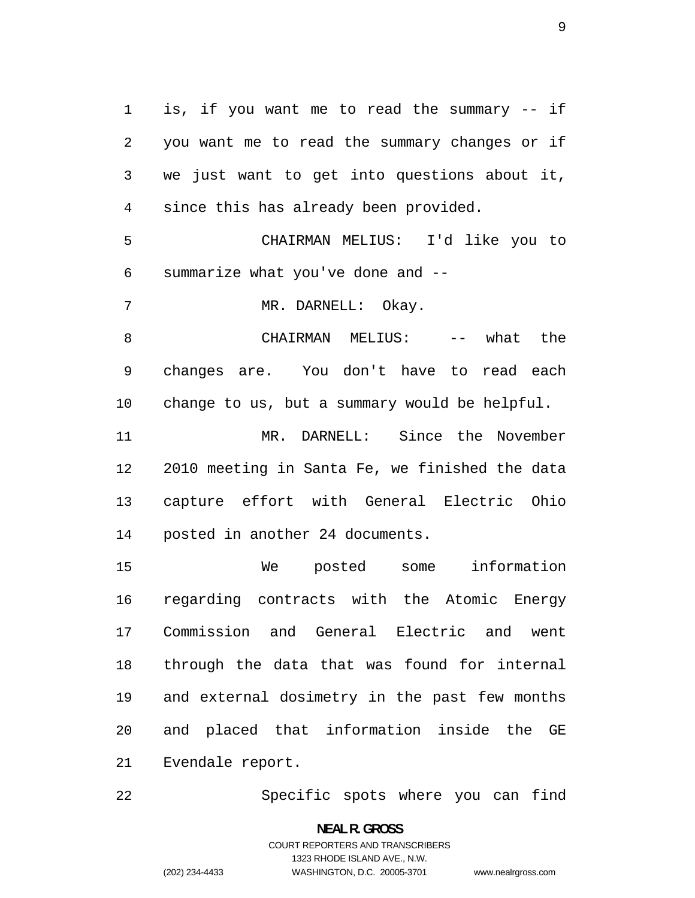is, if you want me to read the summary -- if you want me to read the summary changes or if we just want to get into questions about it, since this has already been provided.

CHAIRMAN MELIUS: I'd like you to summarize what you've done and --

MR. DARNELL: Okay.

CHAIRMAN MELIUS: -- what the changes are. You don't have to read each change to us, but a summary would be helpful.

MR. DARNELL: Since the November 2010 meeting in Santa Fe, we finished the data capture effort with General Electric Ohio posted in another 24 documents.

We posted some information regarding contracts with the Atomic Energy Commission and General Electric and went through the data that was found for internal and external dosimetry in the past few months and placed that information inside the GE Evendale report.

Specific spots where you can find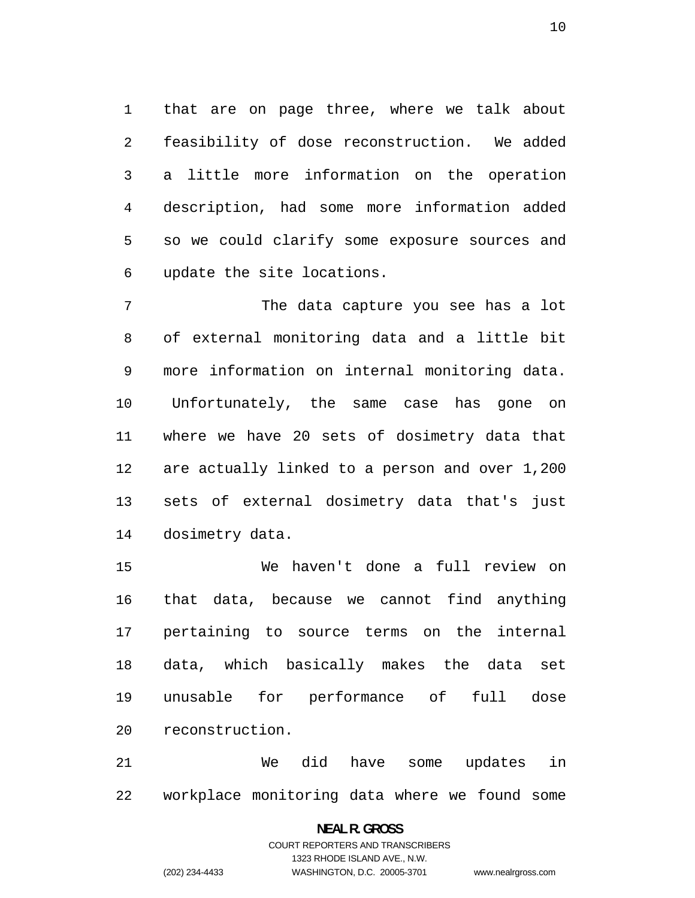that are on page three, where we talk about feasibility of dose reconstruction. We added a little more information on the operation description, had some more information added so we could clarify some exposure sources and update the site locations.

The data capture you see has a lot of external monitoring data and a little bit more information on internal monitoring data. Unfortunately, the same case has gone on where we have 20 sets of dosimetry data that are actually linked to a person and over 1,200 sets of external dosimetry data that's just dosimetry data.

We haven't done a full review on that data, because we cannot find anything pertaining to source terms on the internal data, which basically makes the data set unusable for performance of full dose reconstruction.

We did have some updates in workplace monitoring data where we found some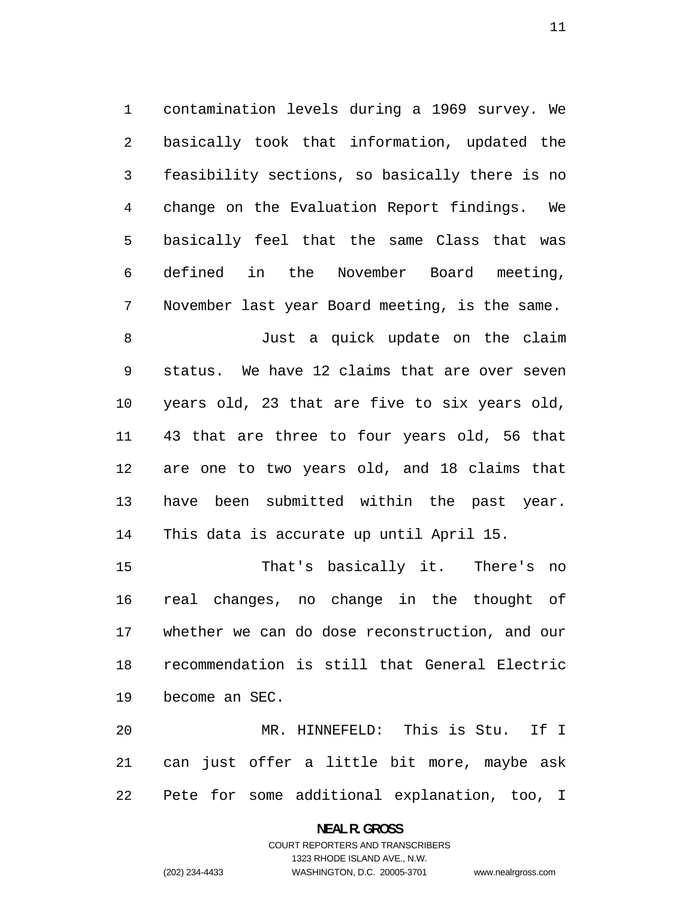contamination levels during a 1969 survey. We basically took that information, updated the feasibility sections, so basically there is no change on the Evaluation Report findings. We basically feel that the same Class that was defined in the November Board meeting, November last year Board meeting, is the same.

Just a quick update on the claim status. We have 12 claims that are over seven years old, 23 that are five to six years old, 43 that are three to four years old, 56 that are one to two years old, and 18 claims that have been submitted within the past year. This data is accurate up until April 15.

That's basically it. There's no real changes, no change in the thought of whether we can do dose reconstruction, and our recommendation is still that General Electric become an SEC.

MR. HINNEFELD: This is Stu. If I can just offer a little bit more, maybe ask Pete for some additional explanation, too, I

### **NEAL R. GROSS**  COURT REPORTERS AND TRANSCRIBERS 1323 RHODE ISLAND AVE., N.W. (202) 234-4433 WASHINGTON, D.C. 20005-3701 www.nealrgross.com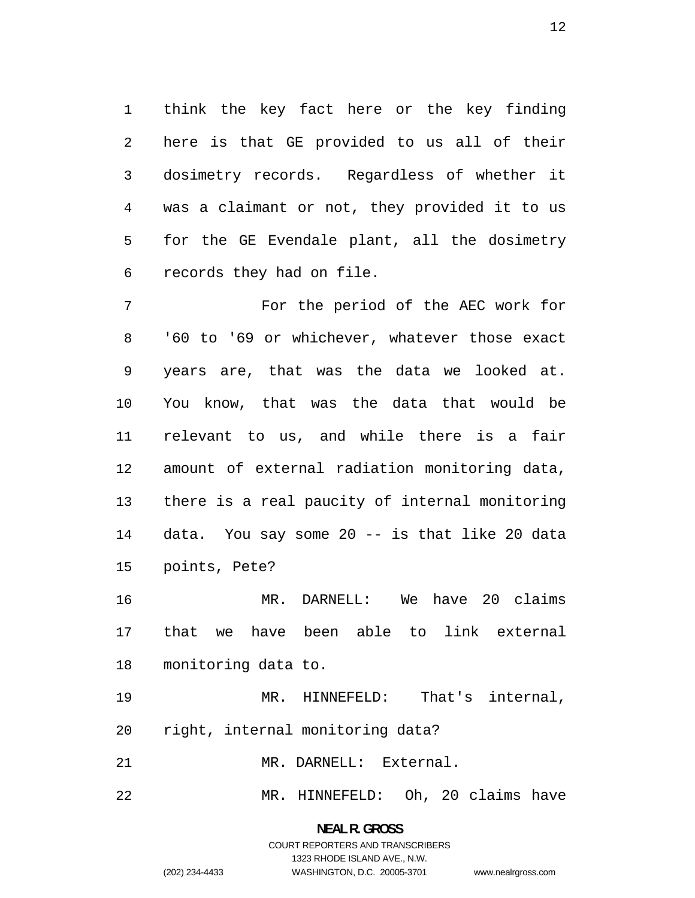think the key fact here or the key finding here is that GE provided to us all of their dosimetry records. Regardless of whether it was a claimant or not, they provided it to us for the GE Evendale plant, all the dosimetry records they had on file.

For the period of the AEC work for '60 to '69 or whichever, whatever those exact years are, that was the data we looked at. You know, that was the data that would be relevant to us, and while there is a fair amount of external radiation monitoring data, there is a real paucity of internal monitoring data. You say some 20 -- is that like 20 data points, Pete?

MR. DARNELL: We have 20 claims that we have been able to link external monitoring data to.

MR. HINNEFELD: That's internal, right, internal monitoring data?

MR. DARNELL: External.

MR. HINNEFELD: Oh, 20 claims have

# **NEAL R. GROSS**  COURT REPORTERS AND TRANSCRIBERS 1323 RHODE ISLAND AVE., N.W.

(202) 234-4433 WASHINGTON, D.C. 20005-3701 www.nealrgross.com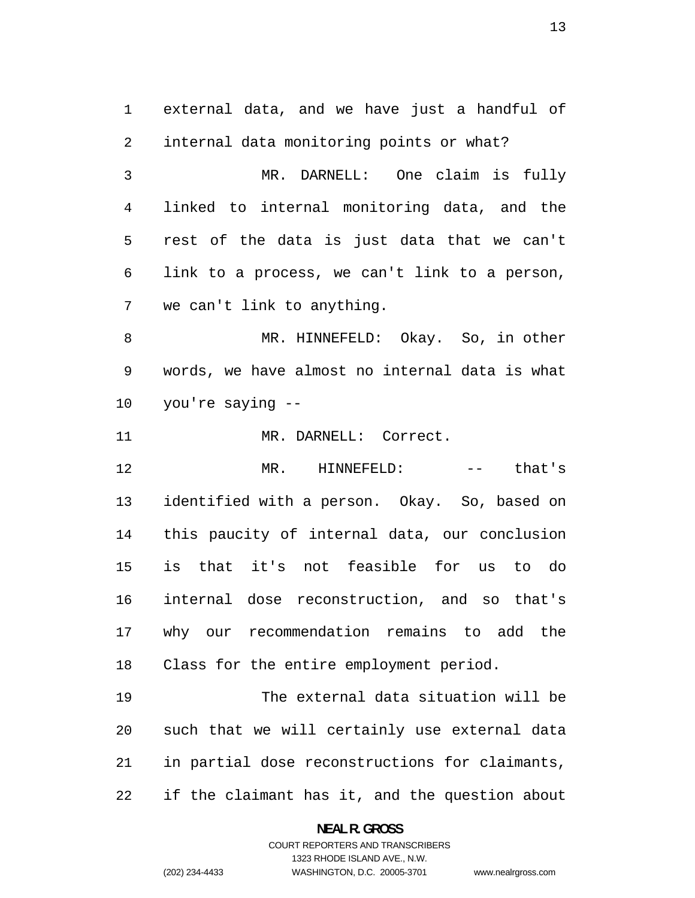external data, and we have just a handful of internal data monitoring points or what? MR. DARNELL: One claim is fully linked to internal monitoring data, and the rest of the data is just data that we can't link to a process, we can't link to a person, we can't link to anything. MR. HINNEFELD: Okay. So, in other words, we have almost no internal data is what you're saying -- 11 MR. DARNELL: Correct. MR. HINNEFELD: -- that's identified with a person. Okay. So, based on this paucity of internal data, our conclusion is that it's not feasible for us to do internal dose reconstruction, and so that's why our recommendation remains to add the Class for the entire employment period. The external data situation will be such that we will certainly use external data

if the claimant has it, and the question about

in partial dose reconstructions for claimants,

**NEAL R. GROSS**  COURT REPORTERS AND TRANSCRIBERS

1323 RHODE ISLAND AVE., N.W.

(202) 234-4433 WASHINGTON, D.C. 20005-3701 www.nealrgross.com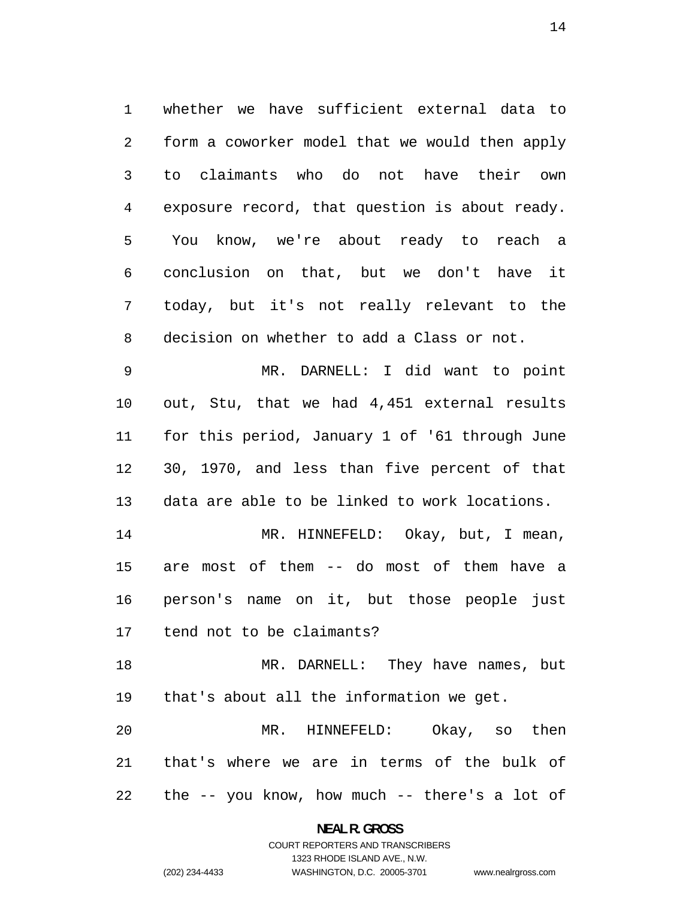whether we have sufficient external data to form a coworker model that we would then apply to claimants who do not have their own exposure record, that question is about ready. You know, we're about ready to reach a conclusion on that, but we don't have it today, but it's not really relevant to the decision on whether to add a Class or not.

MR. DARNELL: I did want to point out, Stu, that we had 4,451 external results for this period, January 1 of '61 through June 30, 1970, and less than five percent of that data are able to be linked to work locations.

14 MR. HINNEFELD: Okay, but, I mean, are most of them -- do most of them have a person's name on it, but those people just tend not to be claimants?

MR. DARNELL: They have names, but that's about all the information we get.

MR. HINNEFELD: Okay, so then that's where we are in terms of the bulk of the -- you know, how much -- there's a lot of

> **NEAL R. GROSS**  COURT REPORTERS AND TRANSCRIBERS

#### 1323 RHODE ISLAND AVE., N.W. (202) 234-4433 WASHINGTON, D.C. 20005-3701 www.nealrgross.com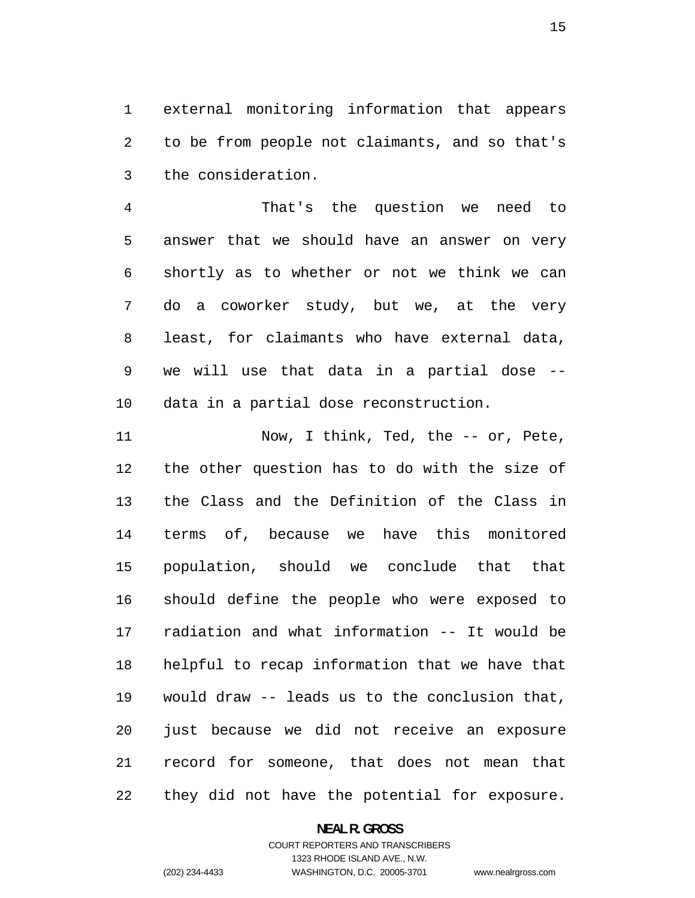external monitoring information that appears to be from people not claimants, and so that's the consideration.

That's the question we need to answer that we should have an answer on very shortly as to whether or not we think we can do a coworker study, but we, at the very least, for claimants who have external data, we will use that data in a partial dose -- data in a partial dose reconstruction.

Now, I think, Ted, the -- or, Pete, the other question has to do with the size of the Class and the Definition of the Class in terms of, because we have this monitored population, should we conclude that that should define the people who were exposed to radiation and what information -- It would be helpful to recap information that we have that would draw -- leads us to the conclusion that, just because we did not receive an exposure record for someone, that does not mean that they did not have the potential for exposure.

#### **NEAL R. GROSS**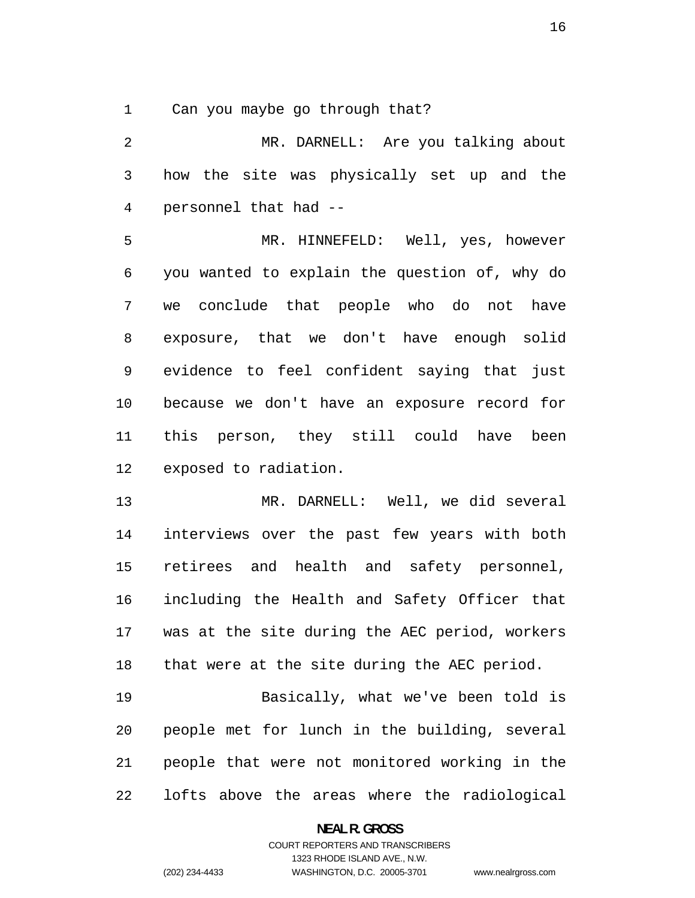Can you maybe go through that?

MR. DARNELL: Are you talking about how the site was physically set up and the personnel that had --

MR. HINNEFELD: Well, yes, however you wanted to explain the question of, why do we conclude that people who do not have exposure, that we don't have enough solid evidence to feel confident saying that just because we don't have an exposure record for this person, they still could have been exposed to radiation.

MR. DARNELL: Well, we did several interviews over the past few years with both retirees and health and safety personnel, including the Health and Safety Officer that was at the site during the AEC period, workers that were at the site during the AEC period.

Basically, what we've been told is people met for lunch in the building, several people that were not monitored working in the lofts above the areas where the radiological

**NEAL R. GROSS**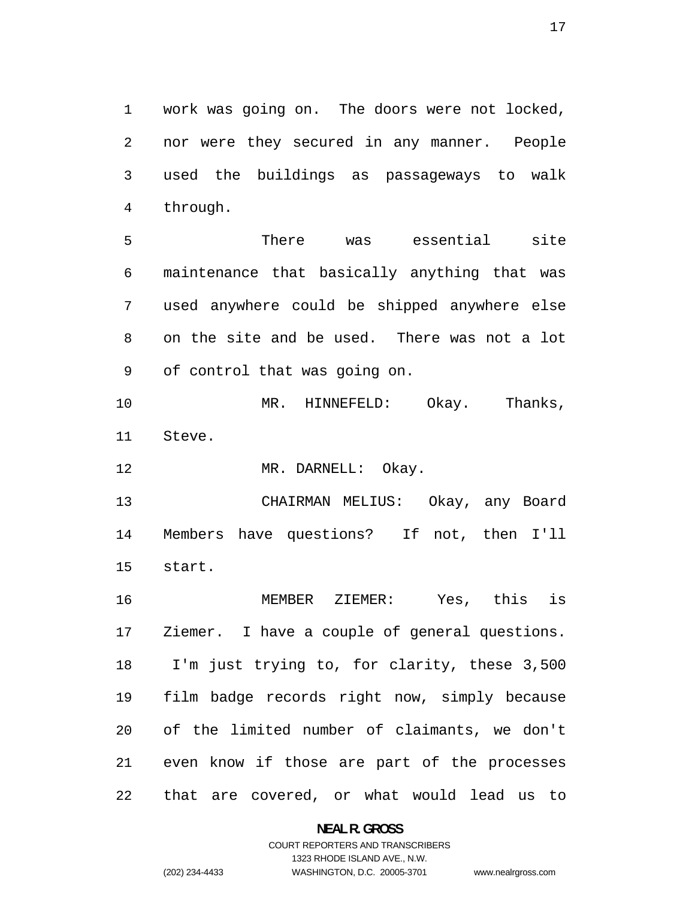work was going on. The doors were not locked, nor were they secured in any manner. People used the buildings as passageways to walk through.

There was essential site maintenance that basically anything that was used anywhere could be shipped anywhere else on the site and be used. There was not a lot of control that was going on.

MR. HINNEFELD: Okay. Thanks, Steve.

12 MR. DARNELL: Okay.

CHAIRMAN MELIUS: Okay, any Board Members have questions? If not, then I'll start.

MEMBER ZIEMER: Yes, this is Ziemer. I have a couple of general questions. I'm just trying to, for clarity, these 3,500 film badge records right now, simply because of the limited number of claimants, we don't even know if those are part of the processes that are covered, or what would lead us to

> **NEAL R. GROSS**  COURT REPORTERS AND TRANSCRIBERS

> > 1323 RHODE ISLAND AVE., N.W.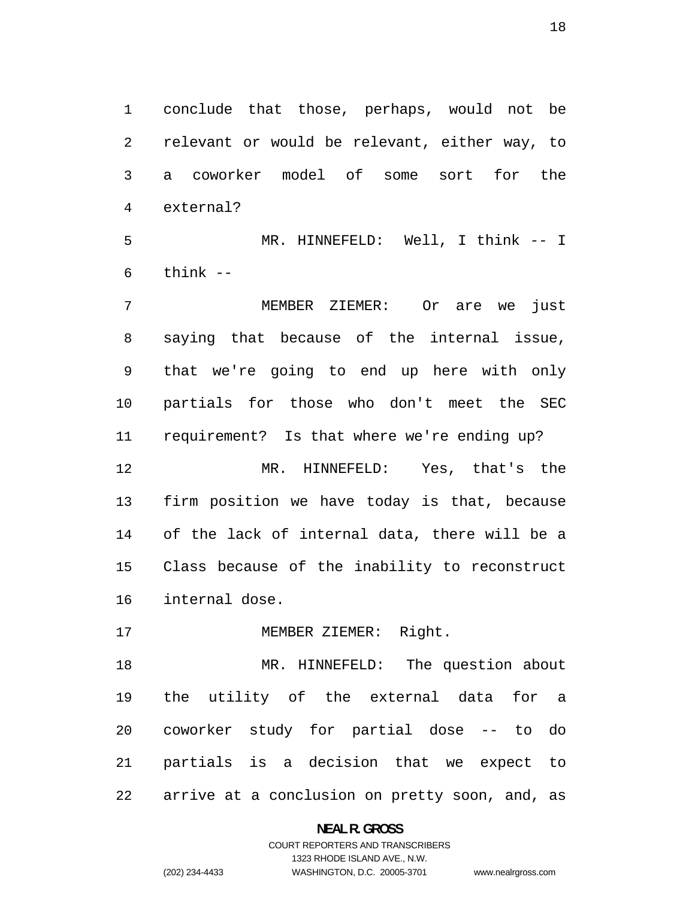conclude that those, perhaps, would not be relevant or would be relevant, either way, to a coworker model of some sort for the external?

MR. HINNEFELD: Well, I think -- I think --

MEMBER ZIEMER: Or are we just saying that because of the internal issue, that we're going to end up here with only partials for those who don't meet the SEC requirement? Is that where we're ending up? MR. HINNEFELD: Yes, that's the firm position we have today is that, because of the lack of internal data, there will be a Class because of the inability to reconstruct internal dose.

17 MEMBER ZIEMER: Right.

MR. HINNEFELD: The question about the utility of the external data for a coworker study for partial dose -- to do partials is a decision that we expect to arrive at a conclusion on pretty soon, and, as

#### **NEAL R. GROSS**

#### COURT REPORTERS AND TRANSCRIBERS 1323 RHODE ISLAND AVE., N.W. (202) 234-4433 WASHINGTON, D.C. 20005-3701 www.nealrgross.com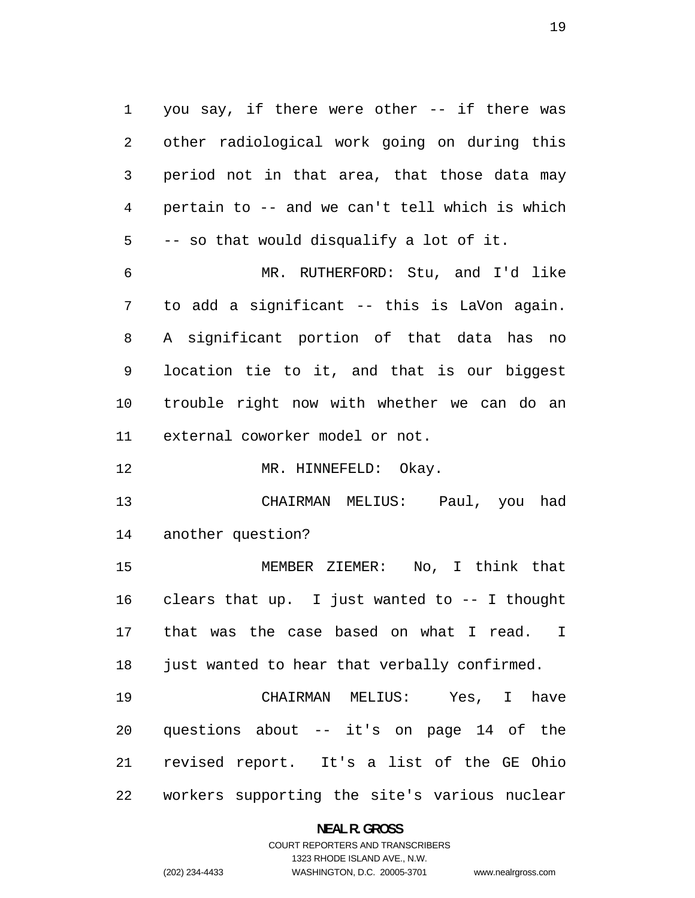you say, if there were other -- if there was other radiological work going on during this period not in that area, that those data may pertain to -- and we can't tell which is which -- so that would disqualify a lot of it. MR. RUTHERFORD: Stu, and I'd like to add a significant -- this is LaVon again.

A significant portion of that data has no location tie to it, and that is our biggest trouble right now with whether we can do an external coworker model or not.

12 MR. HINNEFELD: Okay.

CHAIRMAN MELIUS: Paul, you had another question?

MEMBER ZIEMER: No, I think that clears that up. I just wanted to -- I thought that was the case based on what I read. I 18 just wanted to hear that verbally confirmed.

CHAIRMAN MELIUS: Yes, I have questions about -- it's on page 14 of the revised report. It's a list of the GE Ohio workers supporting the site's various nuclear

**NEAL R. GROSS**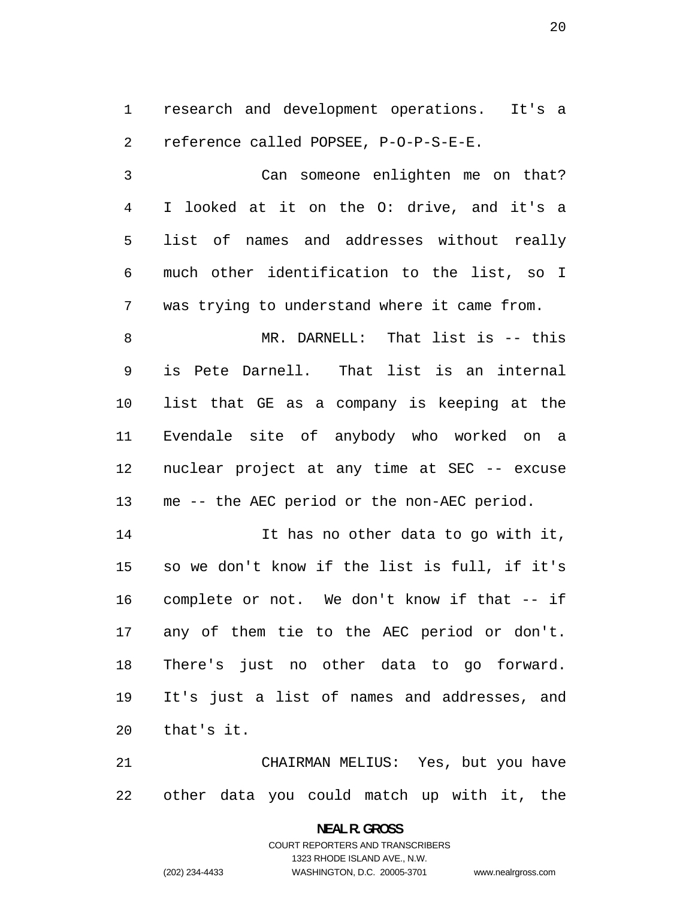research and development operations. It's a reference called POPSEE, P-O-P-S-E-E.

Can someone enlighten me on that? I looked at it on the O: drive, and it's a list of names and addresses without really much other identification to the list, so I was trying to understand where it came from.

MR. DARNELL: That list is -- this is Pete Darnell. That list is an internal list that GE as a company is keeping at the Evendale site of anybody who worked on a nuclear project at any time at SEC -- excuse me -- the AEC period or the non-AEC period.

It has no other data to go with it, so we don't know if the list is full, if it's complete or not. We don't know if that -- if any of them tie to the AEC period or don't. There's just no other data to go forward. It's just a list of names and addresses, and that's it.

CHAIRMAN MELIUS: Yes, but you have other data you could match up with it, the

> **NEAL R. GROSS**  COURT REPORTERS AND TRANSCRIBERS 1323 RHODE ISLAND AVE., N.W. (202) 234-4433 WASHINGTON, D.C. 20005-3701 www.nealrgross.com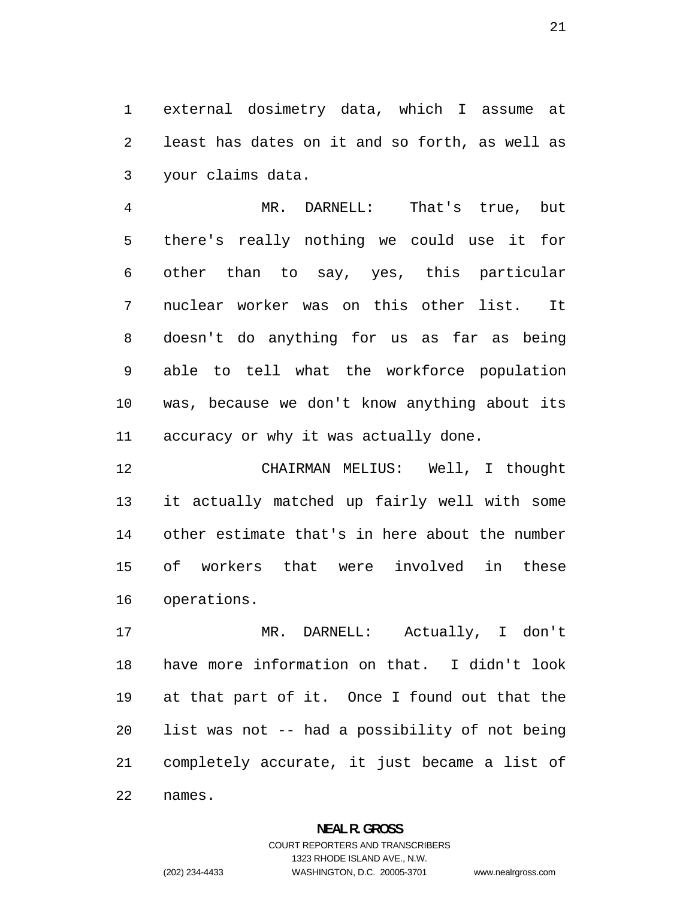external dosimetry data, which I assume at least has dates on it and so forth, as well as your claims data.

MR. DARNELL: That's true, but there's really nothing we could use it for other than to say, yes, this particular nuclear worker was on this other list. It doesn't do anything for us as far as being able to tell what the workforce population was, because we don't know anything about its accuracy or why it was actually done.

CHAIRMAN MELIUS: Well, I thought it actually matched up fairly well with some other estimate that's in here about the number of workers that were involved in these operations.

MR. DARNELL: Actually, I don't have more information on that. I didn't look at that part of it. Once I found out that the list was not -- had a possibility of not being completely accurate, it just became a list of names.

#### **NEAL R. GROSS**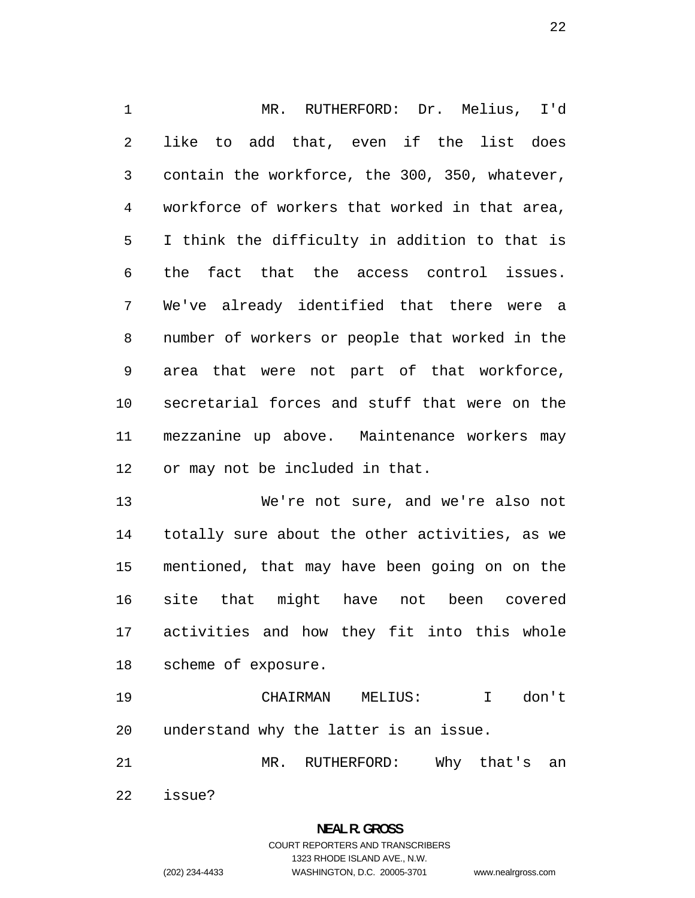MR. RUTHERFORD: Dr. Melius, I'd like to add that, even if the list does contain the workforce, the 300, 350, whatever, workforce of workers that worked in that area, I think the difficulty in addition to that is the fact that the access control issues. We've already identified that there were a number of workers or people that worked in the area that were not part of that workforce, secretarial forces and stuff that were on the mezzanine up above. Maintenance workers may or may not be included in that.

We're not sure, and we're also not totally sure about the other activities, as we mentioned, that may have been going on on the site that might have not been covered activities and how they fit into this whole scheme of exposure.

CHAIRMAN MELIUS: I don't understand why the latter is an issue.

MR. RUTHERFORD: Why that's an

issue?

# **NEAL R. GROSS**  COURT REPORTERS AND TRANSCRIBERS 1323 RHODE ISLAND AVE., N.W.

(202) 234-4433 WASHINGTON, D.C. 20005-3701 www.nealrgross.com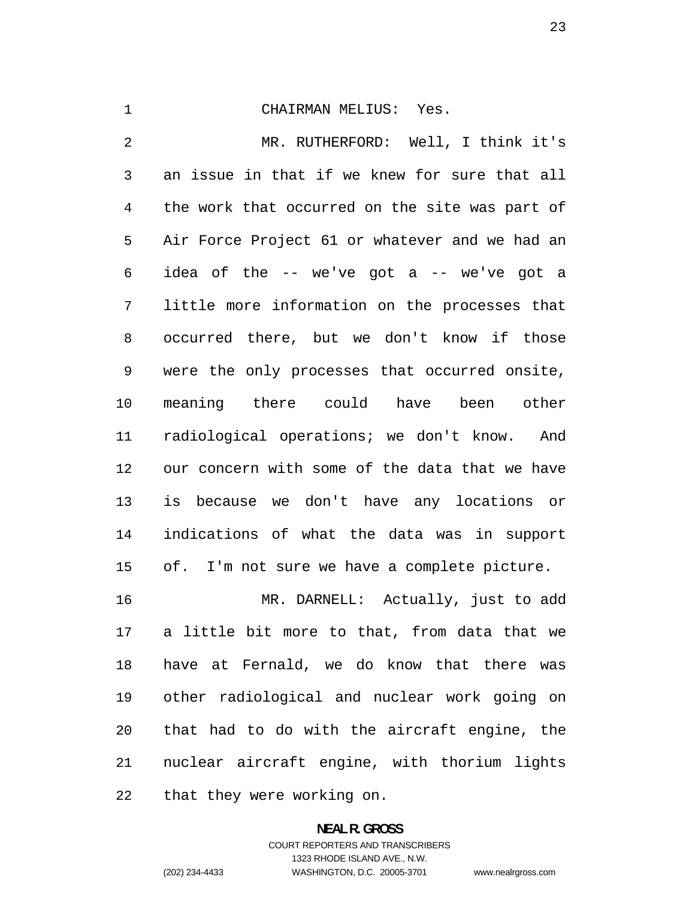#### CHAIRMAN MELIUS: Yes.

MR. RUTHERFORD: Well, I think it's an issue in that if we knew for sure that all the work that occurred on the site was part of Air Force Project 61 or whatever and we had an 6 idea of the  $-$  we've got a  $-$  we've got a little more information on the processes that occurred there, but we don't know if those were the only processes that occurred onsite, meaning there could have been other radiological operations; we don't know. And our concern with some of the data that we have is because we don't have any locations or indications of what the data was in support of. I'm not sure we have a complete picture. MR. DARNELL: Actually, just to add a little bit more to that, from data that we

have at Fernald, we do know that there was other radiological and nuclear work going on that had to do with the aircraft engine, the nuclear aircraft engine, with thorium lights that they were working on.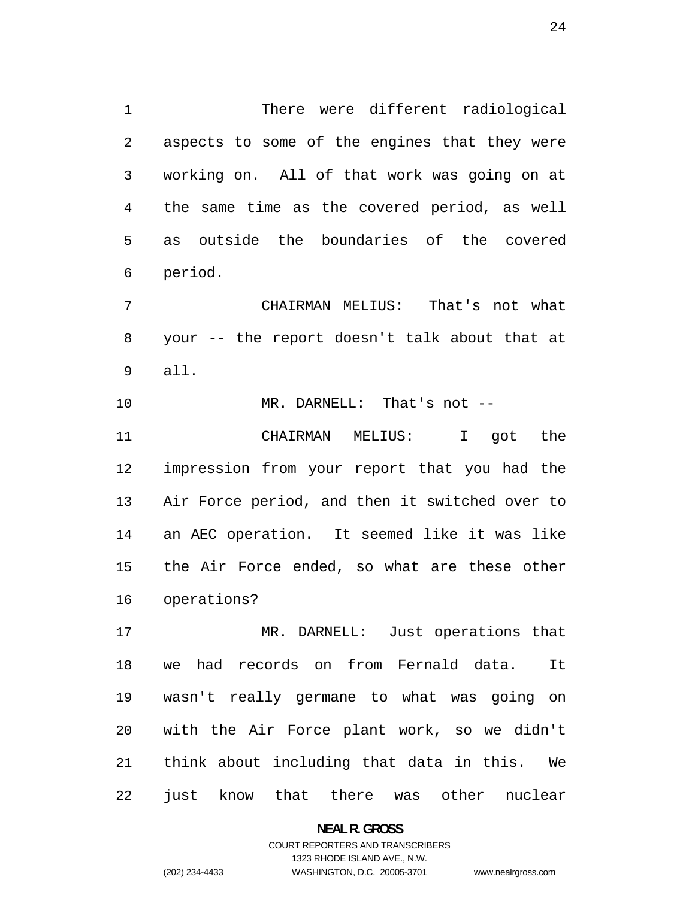There were different radiological aspects to some of the engines that they were working on. All of that work was going on at the same time as the covered period, as well as outside the boundaries of the covered period.

CHAIRMAN MELIUS: That's not what your -- the report doesn't talk about that at all.

MR. DARNELL: That's not --

CHAIRMAN MELIUS: I got the impression from your report that you had the Air Force period, and then it switched over to an AEC operation. It seemed like it was like the Air Force ended, so what are these other operations?

MR. DARNELL: Just operations that we had records on from Fernald data. It wasn't really germane to what was going on with the Air Force plant work, so we didn't think about including that data in this. We just know that there was other nuclear

> **NEAL R. GROSS**  COURT REPORTERS AND TRANSCRIBERS 1323 RHODE ISLAND AVE., N.W. (202) 234-4433 WASHINGTON, D.C. 20005-3701 www.nealrgross.com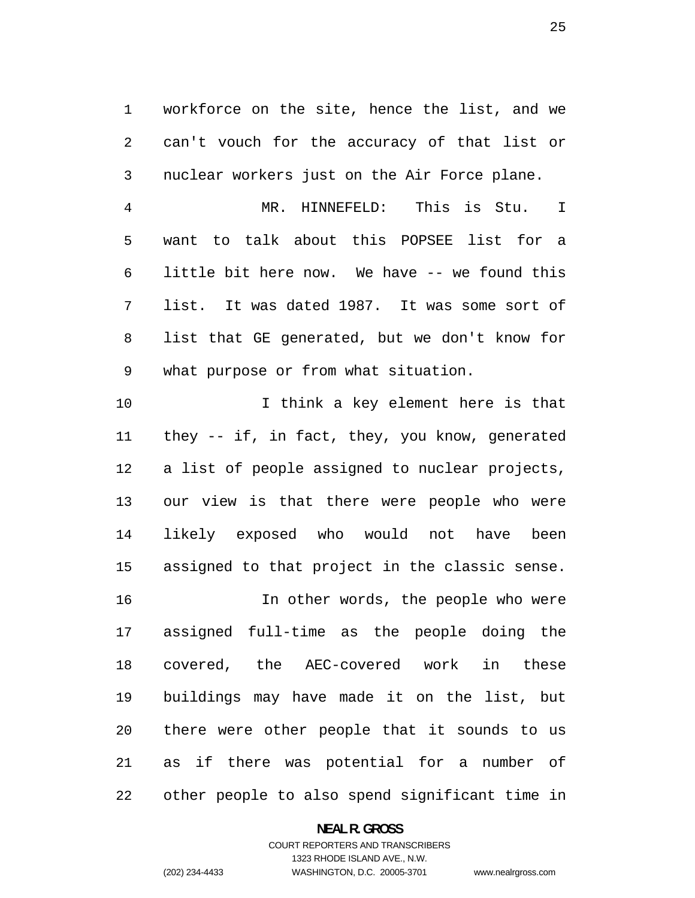workforce on the site, hence the list, and we can't vouch for the accuracy of that list or nuclear workers just on the Air Force plane.

MR. HINNEFELD: This is Stu. I want to talk about this POPSEE list for a little bit here now. We have -- we found this list. It was dated 1987. It was some sort of list that GE generated, but we don't know for what purpose or from what situation.

I think a key element here is that they -- if, in fact, they, you know, generated a list of people assigned to nuclear projects, our view is that there were people who were likely exposed who would not have been assigned to that project in the classic sense.

In other words, the people who were assigned full-time as the people doing the covered, the AEC-covered work in these buildings may have made it on the list, but there were other people that it sounds to us as if there was potential for a number of other people to also spend significant time in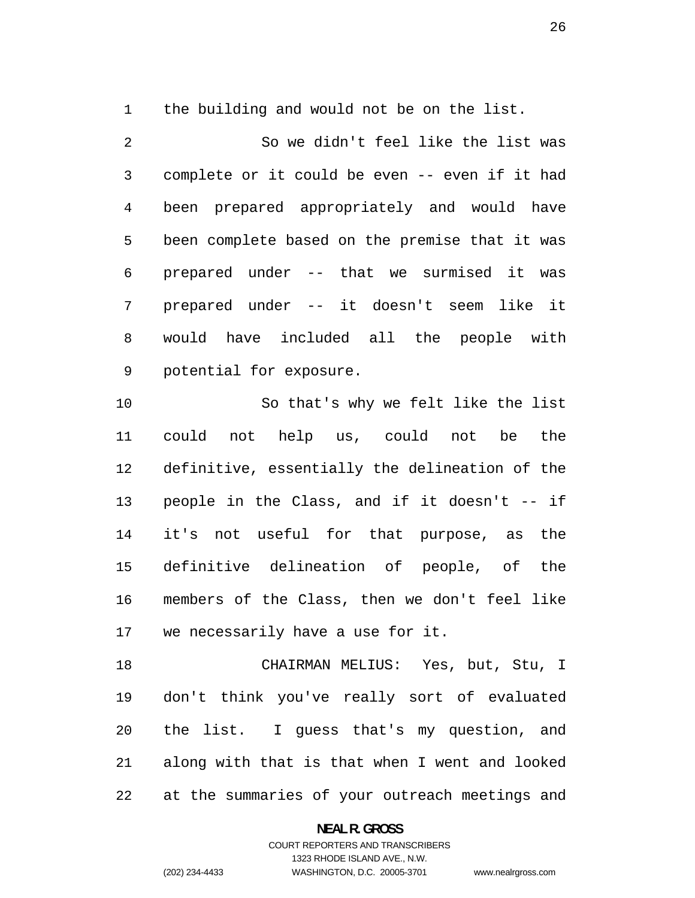the building and would not be on the list.

So we didn't feel like the list was complete or it could be even -- even if it had been prepared appropriately and would have been complete based on the premise that it was prepared under -- that we surmised it was prepared under -- it doesn't seem like it would have included all the people with potential for exposure.

So that's why we felt like the list could not help us, could not be the definitive, essentially the delineation of the people in the Class, and if it doesn't -- if it's not useful for that purpose, as the definitive delineation of people, of the members of the Class, then we don't feel like we necessarily have a use for it.

CHAIRMAN MELIUS: Yes, but, Stu, I don't think you've really sort of evaluated the list. I guess that's my question, and along with that is that when I went and looked at the summaries of your outreach meetings and

**NEAL R. GROSS**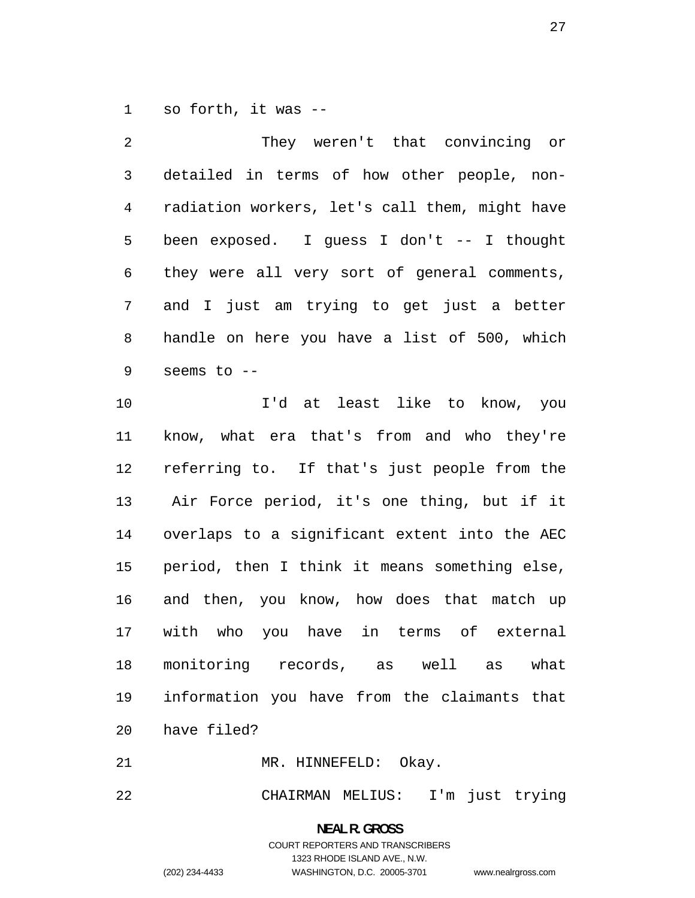so forth, it was --

| $\overline{2}$ | They weren't that convincing or                |
|----------------|------------------------------------------------|
| 3              | detailed in terms of how other people, non-    |
| 4              | radiation workers, let's call them, might have |
| 5              | been exposed. I quess I don't -- I thought     |
| 6              | they were all very sort of general comments,   |
| 7              | and I just am trying to get just a better      |
| 8              | handle on here you have a list of 500, which   |
| 9              | seems to --                                    |
| 10             | I'd at least like to know, you                 |
| 11             | know, what era that's from and who they're     |
| 12             | referring to. If that's just people from the   |
| 13             | Air Force period, it's one thing, but if it    |
| 14             | overlaps to a significant extent into the AEC  |
| 15             | period, then I think it means something else,  |
| 16             | and then, you know, how does that match up     |
| 17             | in terms of external<br>with<br>who you have   |
| 18             | monitoring records, as well as<br>what         |

have filed?

MR. HINNEFELD: Okay.

CHAIRMAN MELIUS: I'm just trying

information you have from the claimants that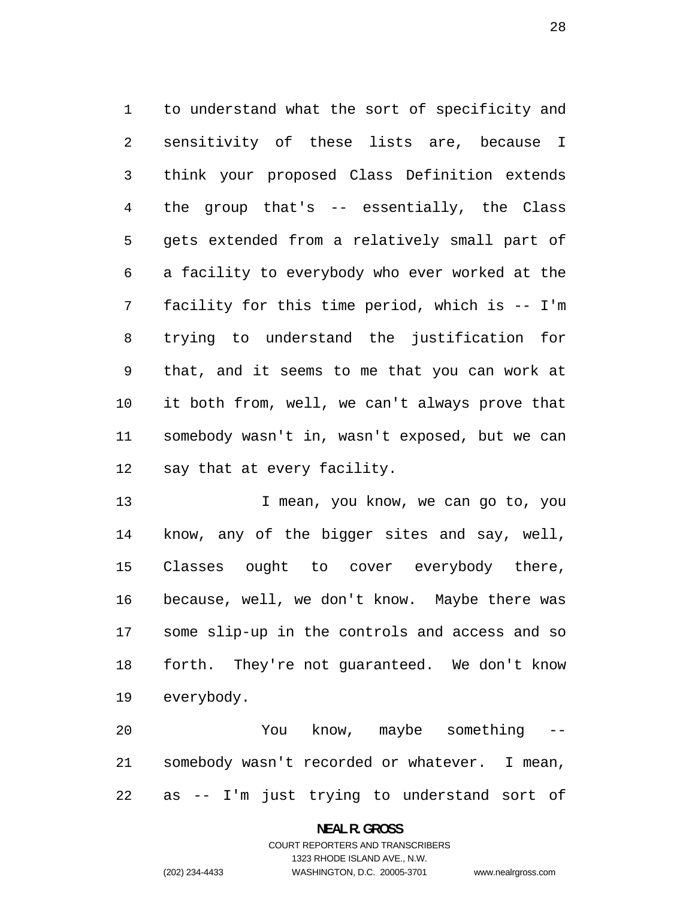to understand what the sort of specificity and sensitivity of these lists are, because I think your proposed Class Definition extends the group that's -- essentially, the Class gets extended from a relatively small part of a facility to everybody who ever worked at the facility for this time period, which is -- I'm trying to understand the justification for that, and it seems to me that you can work at it both from, well, we can't always prove that somebody wasn't in, wasn't exposed, but we can say that at every facility.

13 I mean, you know, we can go to, you know, any of the bigger sites and say, well, Classes ought to cover everybody there, because, well, we don't know. Maybe there was some slip-up in the controls and access and so forth. They're not guaranteed. We don't know everybody.

20 You know, maybe something somebody wasn't recorded or whatever. I mean, as -- I'm just trying to understand sort of

#### **NEAL R. GROSS**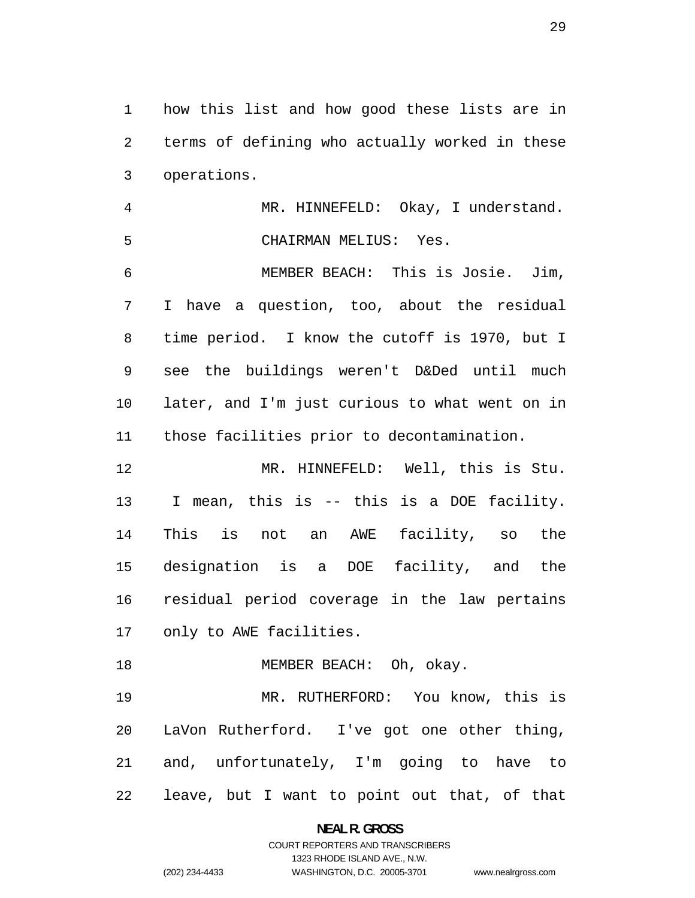how this list and how good these lists are in terms of defining who actually worked in these operations.

MR. HINNEFELD: Okay, I understand. CHAIRMAN MELIUS: Yes.

MEMBER BEACH: This is Josie. Jim, I have a question, too, about the residual time period. I know the cutoff is 1970, but I see the buildings weren't D&Ded until much later, and I'm just curious to what went on in those facilities prior to decontamination.

MR. HINNEFELD: Well, this is Stu. I mean, this is -- this is a DOE facility. This is not an AWE facility, so the designation is a DOE facility, and the residual period coverage in the law pertains only to AWE facilities.

18 MEMBER BEACH: Oh, okay.

MR. RUTHERFORD: You know, this is LaVon Rutherford. I've got one other thing, and, unfortunately, I'm going to have to leave, but I want to point out that, of that

> **NEAL R. GROSS**  COURT REPORTERS AND TRANSCRIBERS 1323 RHODE ISLAND AVE., N.W.

(202) 234-4433 WASHINGTON, D.C. 20005-3701 www.nealrgross.com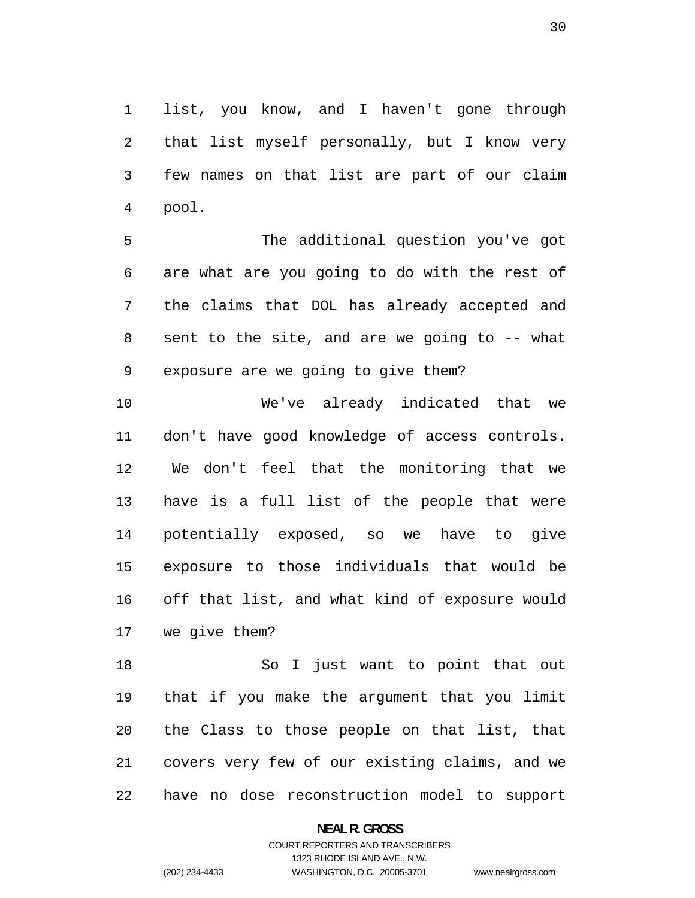list, you know, and I haven't gone through that list myself personally, but I know very few names on that list are part of our claim pool.

The additional question you've got are what are you going to do with the rest of the claims that DOL has already accepted and sent to the site, and are we going to -- what exposure are we going to give them?

We've already indicated that we don't have good knowledge of access controls. We don't feel that the monitoring that we have is a full list of the people that were potentially exposed, so we have to give exposure to those individuals that would be off that list, and what kind of exposure would we give them?

So I just want to point that out that if you make the argument that you limit the Class to those people on that list, that covers very few of our existing claims, and we have no dose reconstruction model to support

> **NEAL R. GROSS**  COURT REPORTERS AND TRANSCRIBERS 1323 RHODE ISLAND AVE., N.W.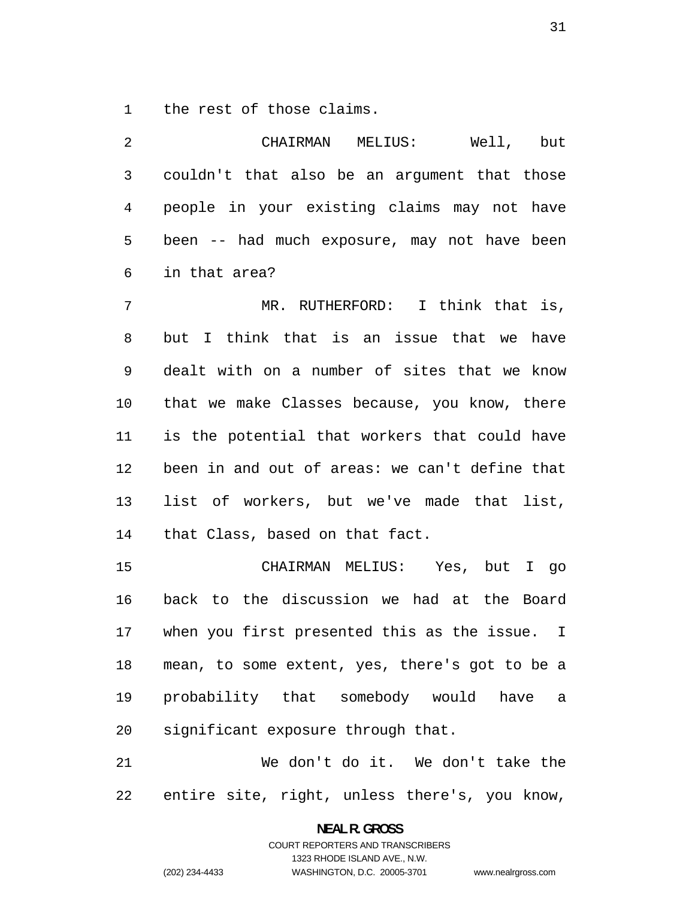the rest of those claims.

| $\overline{2}$ | CHAIRMAN MELIUS: Well, but                     |
|----------------|------------------------------------------------|
| 3              | couldn't that also be an argument that those   |
| $\overline{4}$ | people in your existing claims may not have    |
| 5              | been -- had much exposure, may not have been   |
| 6              | in that area?                                  |
| 7              | MR. RUTHERFORD: I think that is,               |
| 8              | but I think that is an issue that we have      |
| 9              | dealt with on a number of sites that we know   |
| 10             | that we make Classes because, you know, there  |
| 11             | is the potential that workers that could have  |
| 12             | been in and out of areas: we can't define that |
| 13             | list of workers, but we've made that list,     |
| 14             | that Class, based on that fact.                |
| 15             | CHAIRMAN MELIUS: Yes, but I go                 |
| 16             | back to the discussion we had at the Board     |

when you first presented this as the issue. I mean, to some extent, yes, there's got to be a probability that somebody would have a significant exposure through that.

We don't do it. We don't take the entire site, right, unless there's, you know,

### **NEAL R. GROSS**  COURT REPORTERS AND TRANSCRIBERS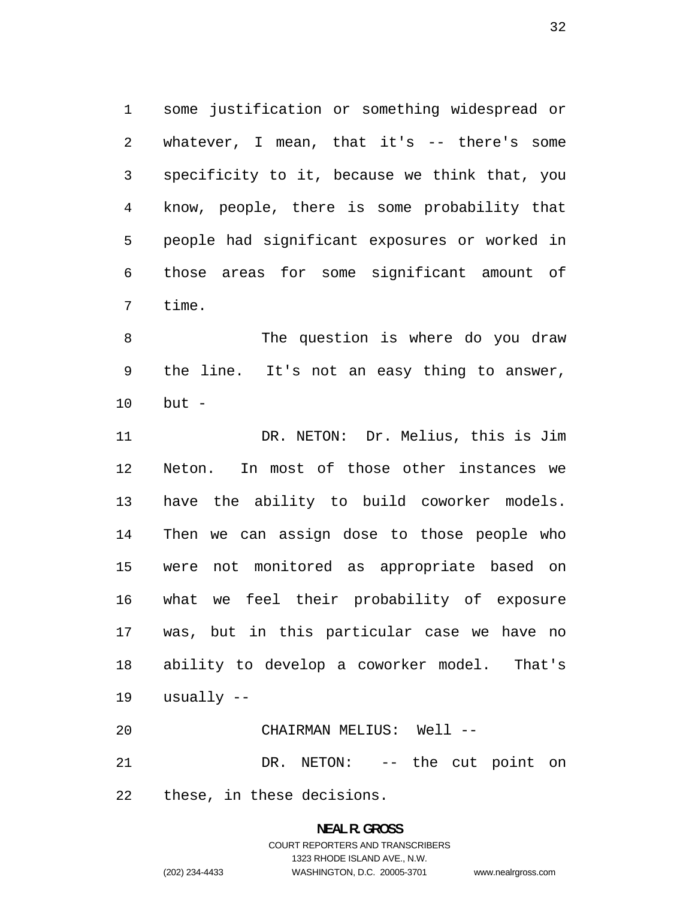some justification or something widespread or whatever, I mean, that it's -- there's some specificity to it, because we think that, you know, people, there is some probability that people had significant exposures or worked in those areas for some significant amount of time.

The question is where do you draw the line. It's not an easy thing to answer, but -

DR. NETON: Dr. Melius, this is Jim Neton. In most of those other instances we have the ability to build coworker models. Then we can assign dose to those people who were not monitored as appropriate based on what we feel their probability of exposure was, but in this particular case we have no ability to develop a coworker model. That's usually --

| 20 | CHAIRMAN MELIUS: Well --       |  |  |  |
|----|--------------------------------|--|--|--|
| 21 | DR. NETON: -- the cut point on |  |  |  |

these, in these decisions.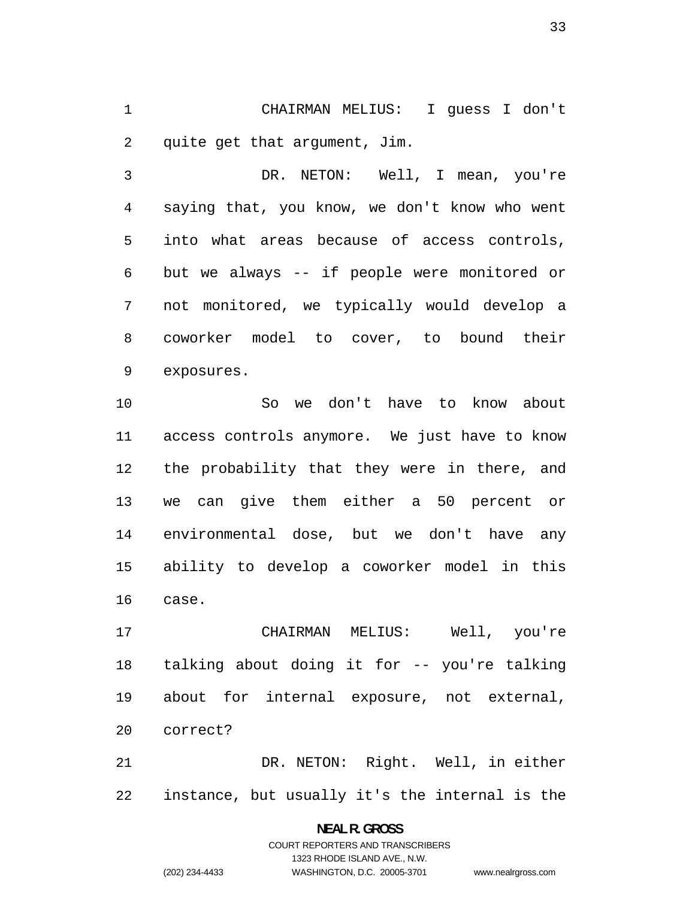CHAIRMAN MELIUS: I guess I don't quite get that argument, Jim.

DR. NETON: Well, I mean, you're saying that, you know, we don't know who went into what areas because of access controls, but we always -- if people were monitored or not monitored, we typically would develop a coworker model to cover, to bound their exposures.

So we don't have to know about access controls anymore. We just have to know the probability that they were in there, and we can give them either a 50 percent or environmental dose, but we don't have any ability to develop a coworker model in this case.

CHAIRMAN MELIUS: Well, you're talking about doing it for -- you're talking about for internal exposure, not external, correct?

DR. NETON: Right. Well, in either instance, but usually it's the internal is the

> **NEAL R. GROSS**  COURT REPORTERS AND TRANSCRIBERS 1323 RHODE ISLAND AVE., N.W. (202) 234-4433 WASHINGTON, D.C. 20005-3701 www.nealrgross.com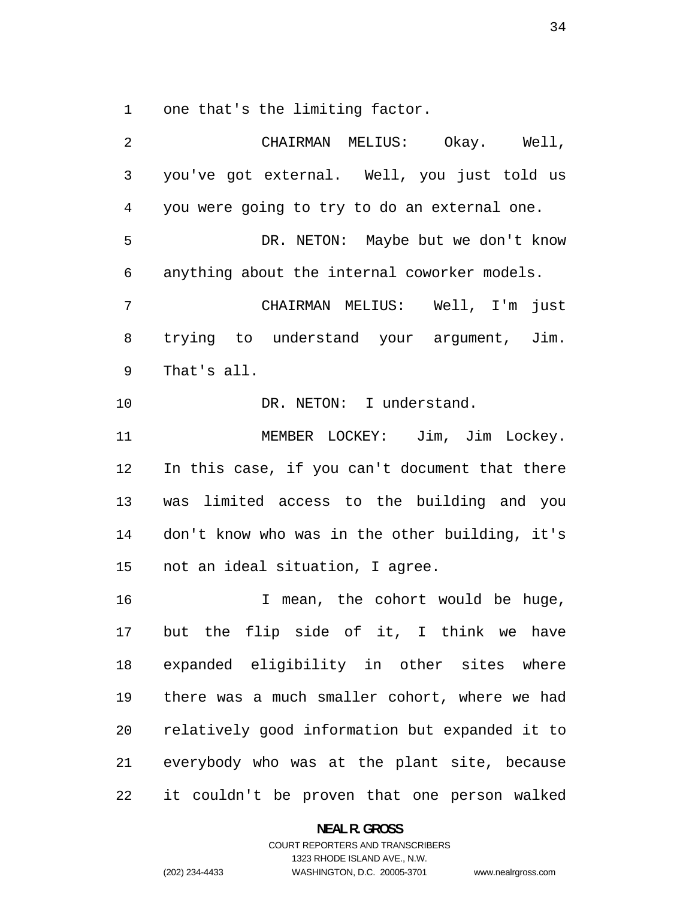one that's the limiting factor.

CHAIRMAN MELIUS: Okay. Well, you've got external. Well, you just told us you were going to try to do an external one. DR. NETON: Maybe but we don't know anything about the internal coworker models. CHAIRMAN MELIUS: Well, I'm just trying to understand your argument, Jim. That's all. 10 DR. NETON: I understand. MEMBER LOCKEY: Jim, Jim Lockey. In this case, if you can't document that there was limited access to the building and you don't know who was in the other building, it's not an ideal situation, I agree. 16 16 I mean, the cohort would be huge, but the flip side of it, I think we have expanded eligibility in other sites where there was a much smaller cohort, where we had relatively good information but expanded it to everybody who was at the plant site, because it couldn't be proven that one person walked

**NEAL R. GROSS**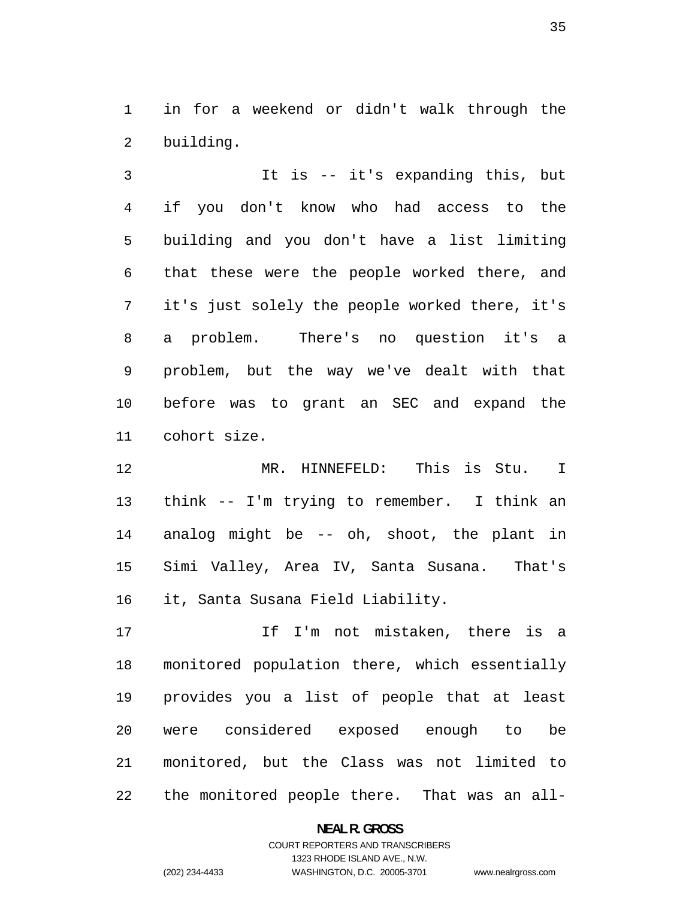in for a weekend or didn't walk through the building.

It is -- it's expanding this, but if you don't know who had access to the building and you don't have a list limiting that these were the people worked there, and it's just solely the people worked there, it's a problem. There's no question it's a problem, but the way we've dealt with that before was to grant an SEC and expand the cohort size.

MR. HINNEFELD: This is Stu. I think -- I'm trying to remember. I think an analog might be -- oh, shoot, the plant in Simi Valley, Area IV, Santa Susana. That's it, Santa Susana Field Liability.

17 17 If I'm not mistaken, there is a monitored population there, which essentially provides you a list of people that at least were considered exposed enough to be monitored, but the Class was not limited to the monitored people there. That was an all-

**NEAL R. GROSS**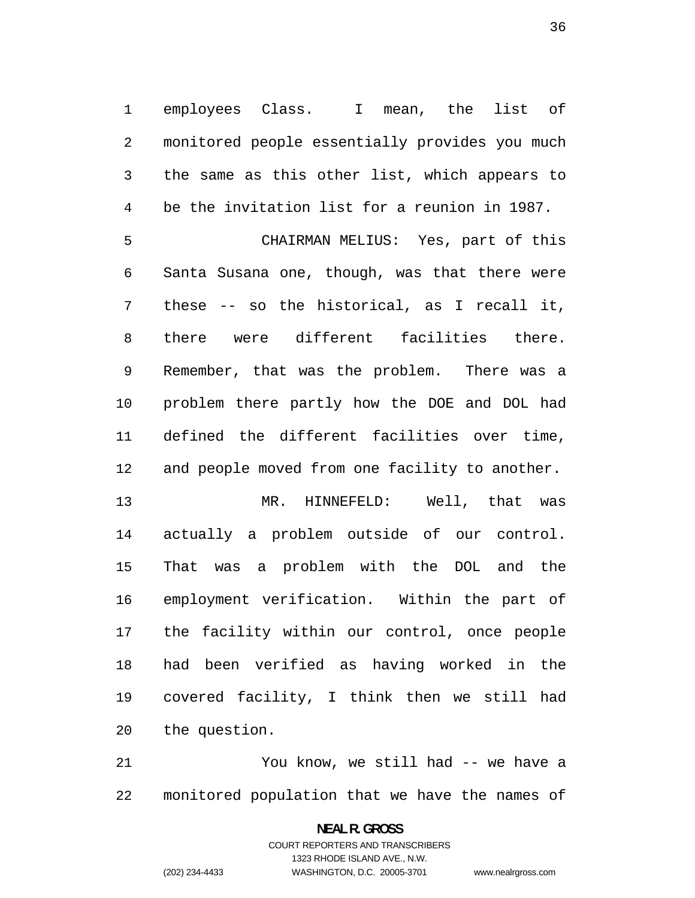employees Class. I mean, the list of monitored people essentially provides you much the same as this other list, which appears to be the invitation list for a reunion in 1987.

CHAIRMAN MELIUS: Yes, part of this Santa Susana one, though, was that there were these -- so the historical, as I recall it, there were different facilities there. Remember, that was the problem. There was a problem there partly how the DOE and DOL had defined the different facilities over time, and people moved from one facility to another.

MR. HINNEFELD: Well, that was actually a problem outside of our control. That was a problem with the DOL and the employment verification. Within the part of the facility within our control, once people had been verified as having worked in the covered facility, I think then we still had the question.

You know, we still had -- we have a monitored population that we have the names of

> **NEAL R. GROSS**  COURT REPORTERS AND TRANSCRIBERS 1323 RHODE ISLAND AVE., N.W. (202) 234-4433 WASHINGTON, D.C. 20005-3701 www.nealrgross.com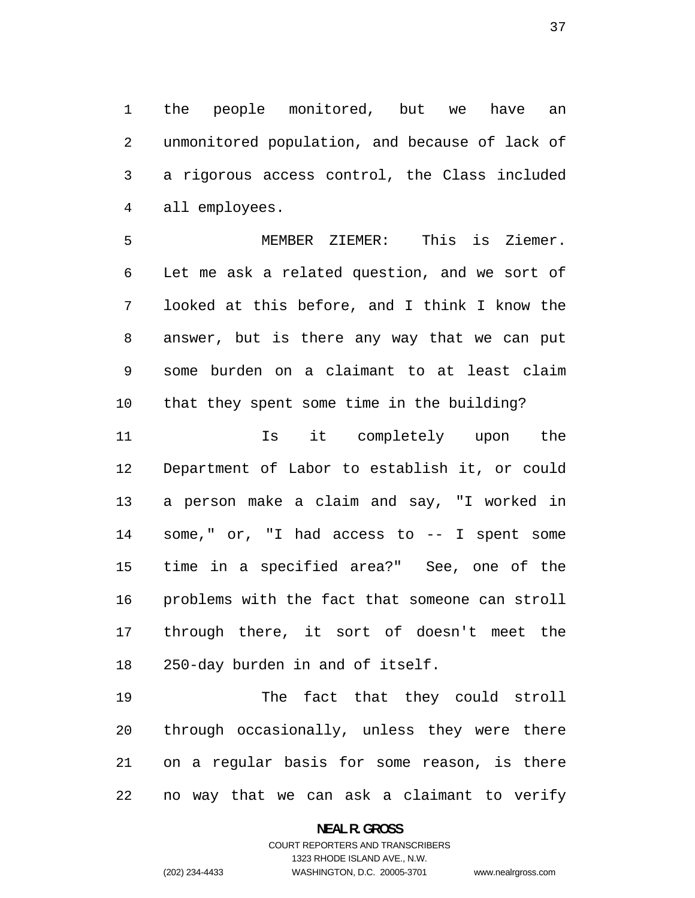the people monitored, but we have an unmonitored population, and because of lack of a rigorous access control, the Class included all employees.

MEMBER ZIEMER: This is Ziemer. Let me ask a related question, and we sort of looked at this before, and I think I know the answer, but is there any way that we can put some burden on a claimant to at least claim that they spent some time in the building?

11 11 Is it completely upon the Department of Labor to establish it, or could a person make a claim and say, "I worked in some," or, "I had access to -- I spent some time in a specified area?" See, one of the problems with the fact that someone can stroll through there, it sort of doesn't meet the 250-day burden in and of itself.

The fact that they could stroll through occasionally, unless they were there on a regular basis for some reason, is there no way that we can ask a claimant to verify

## **NEAL R. GROSS**  COURT REPORTERS AND TRANSCRIBERS 1323 RHODE ISLAND AVE., N.W. (202) 234-4433 WASHINGTON, D.C. 20005-3701 www.nealrgross.com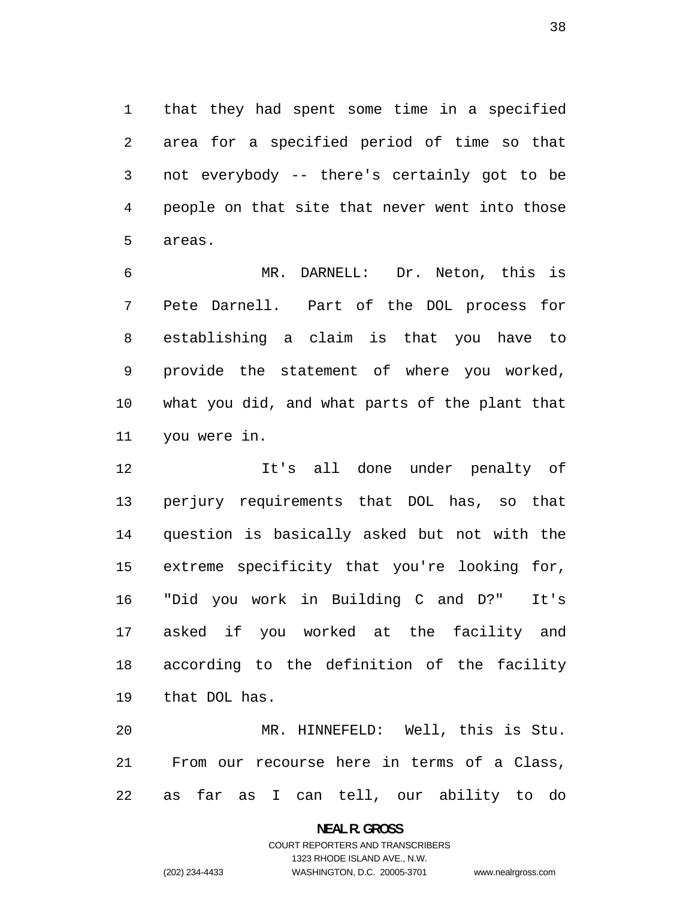that they had spent some time in a specified area for a specified period of time so that not everybody -- there's certainly got to be people on that site that never went into those areas.

MR. DARNELL: Dr. Neton, this is Pete Darnell. Part of the DOL process for establishing a claim is that you have to provide the statement of where you worked, what you did, and what parts of the plant that you were in.

It's all done under penalty of perjury requirements that DOL has, so that question is basically asked but not with the extreme specificity that you're looking for, "Did you work in Building C and D?" It's asked if you worked at the facility and according to the definition of the facility that DOL has.

MR. HINNEFELD: Well, this is Stu. From our recourse here in terms of a Class, as far as I can tell, our ability to do

> **NEAL R. GROSS**  COURT REPORTERS AND TRANSCRIBERS 1323 RHODE ISLAND AVE., N.W. (202) 234-4433 WASHINGTON, D.C. 20005-3701 www.nealrgross.com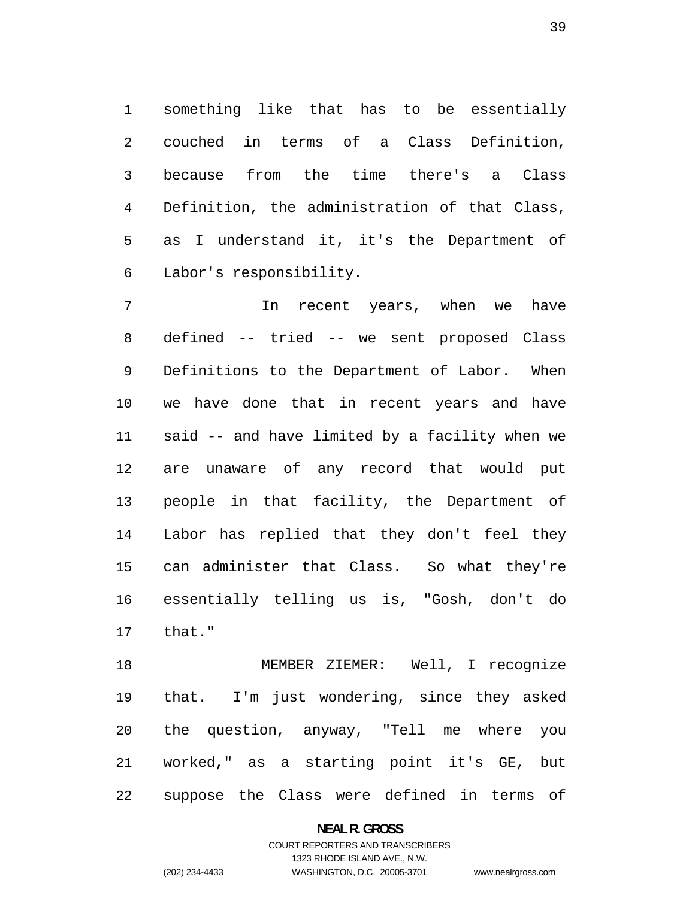something like that has to be essentially couched in terms of a Class Definition, because from the time there's a Class Definition, the administration of that Class, as I understand it, it's the Department of Labor's responsibility.

In recent years, when we have defined -- tried -- we sent proposed Class Definitions to the Department of Labor. When we have done that in recent years and have said -- and have limited by a facility when we are unaware of any record that would put people in that facility, the Department of Labor has replied that they don't feel they can administer that Class. So what they're essentially telling us is, "Gosh, don't do that."

MEMBER ZIEMER: Well, I recognize that. I'm just wondering, since they asked the question, anyway, "Tell me where you worked," as a starting point it's GE, but suppose the Class were defined in terms of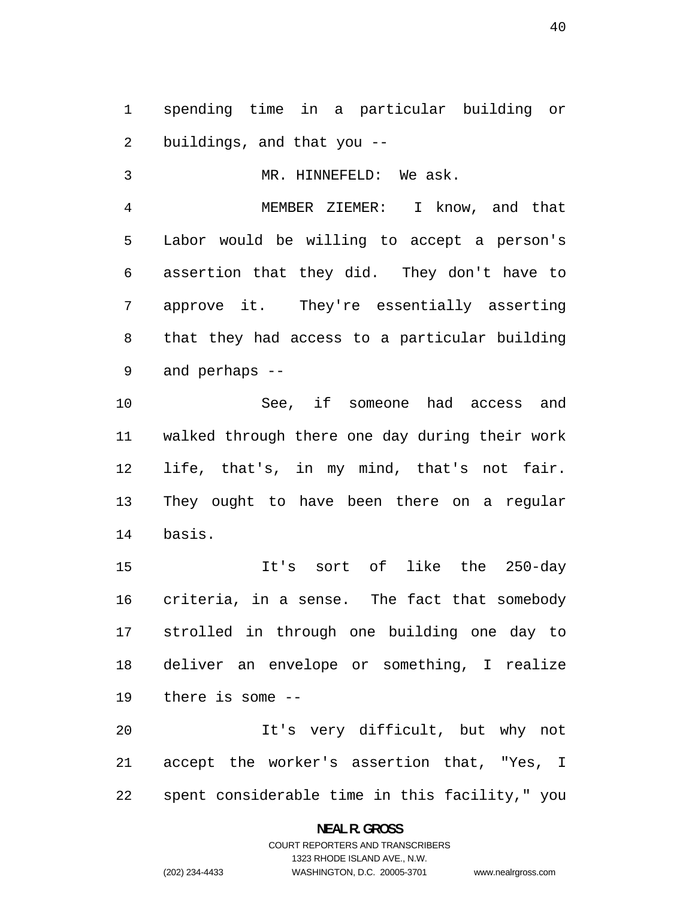spending time in a particular building or buildings, and that you --

MR. HINNEFELD: We ask.

MEMBER ZIEMER: I know, and that Labor would be willing to accept a person's assertion that they did. They don't have to approve it. They're essentially asserting that they had access to a particular building and perhaps --

See, if someone had access and walked through there one day during their work life, that's, in my mind, that's not fair. They ought to have been there on a regular basis.

It's sort of like the 250-day criteria, in a sense. The fact that somebody strolled in through one building one day to deliver an envelope or something, I realize there is some --

It's very difficult, but why not accept the worker's assertion that, "Yes, I spent considerable time in this facility," you

> **NEAL R. GROSS**  COURT REPORTERS AND TRANSCRIBERS 1323 RHODE ISLAND AVE., N.W.

www.nealrgross.com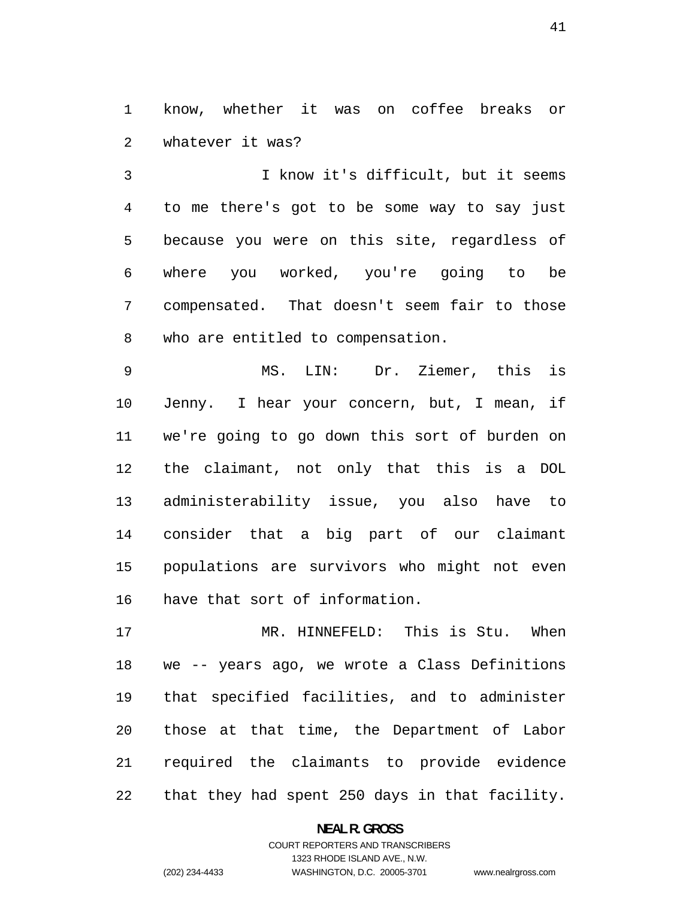know, whether it was on coffee breaks or whatever it was?

I know it's difficult, but it seems to me there's got to be some way to say just because you were on this site, regardless of where you worked, you're going to be compensated. That doesn't seem fair to those who are entitled to compensation.

MS. LIN: Dr. Ziemer, this is Jenny. I hear your concern, but, I mean, if we're going to go down this sort of burden on the claimant, not only that this is a DOL administerability issue, you also have to consider that a big part of our claimant populations are survivors who might not even have that sort of information.

MR. HINNEFELD: This is Stu. When we -- years ago, we wrote a Class Definitions that specified facilities, and to administer those at that time, the Department of Labor required the claimants to provide evidence that they had spent 250 days in that facility.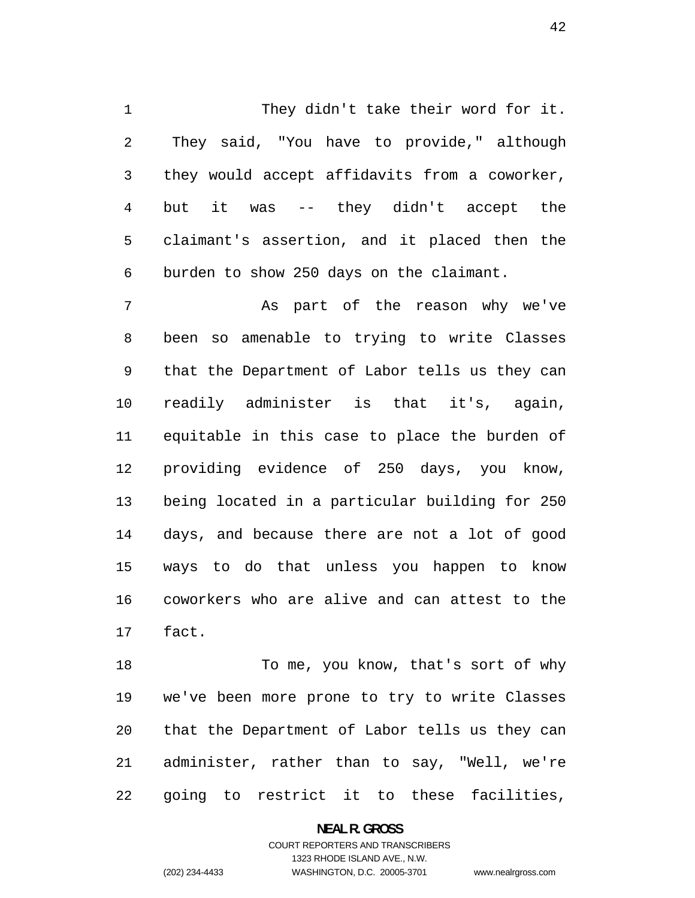They didn't take their word for it. They said, "You have to provide," although they would accept affidavits from a coworker, but it was -- they didn't accept the claimant's assertion, and it placed then the burden to show 250 days on the claimant.

As part of the reason why we've been so amenable to trying to write Classes that the Department of Labor tells us they can readily administer is that it's, again, equitable in this case to place the burden of providing evidence of 250 days, you know, being located in a particular building for 250 days, and because there are not a lot of good ways to do that unless you happen to know coworkers who are alive and can attest to the fact.

18 To me, you know, that's sort of why we've been more prone to try to write Classes that the Department of Labor tells us they can administer, rather than to say, "Well, we're going to restrict it to these facilities,

> **NEAL R. GROSS**  COURT REPORTERS AND TRANSCRIBERS 1323 RHODE ISLAND AVE., N.W. (202) 234-4433 WASHINGTON, D.C. 20005-3701 www.nealrgross.com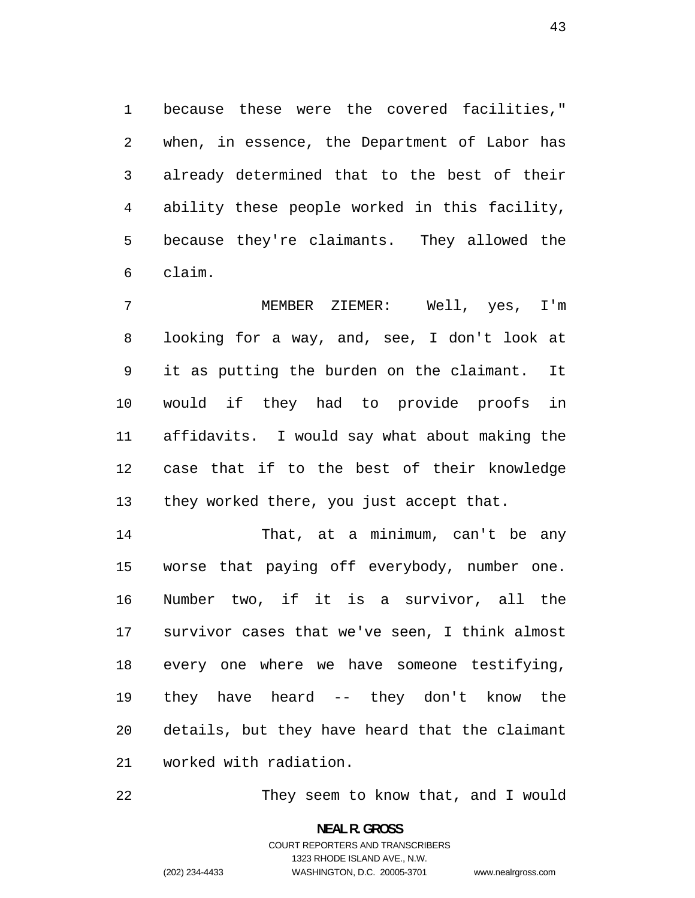because these were the covered facilities," when, in essence, the Department of Labor has already determined that to the best of their ability these people worked in this facility, because they're claimants. They allowed the claim.

MEMBER ZIEMER: Well, yes, I'm looking for a way, and, see, I don't look at it as putting the burden on the claimant. It would if they had to provide proofs in affidavits. I would say what about making the case that if to the best of their knowledge 13 they worked there, you just accept that.

That, at a minimum, can't be any worse that paying off everybody, number one. Number two, if it is a survivor, all the survivor cases that we've seen, I think almost every one where we have someone testifying, they have heard -- they don't know the details, but they have heard that the claimant worked with radiation.

They seem to know that, and I would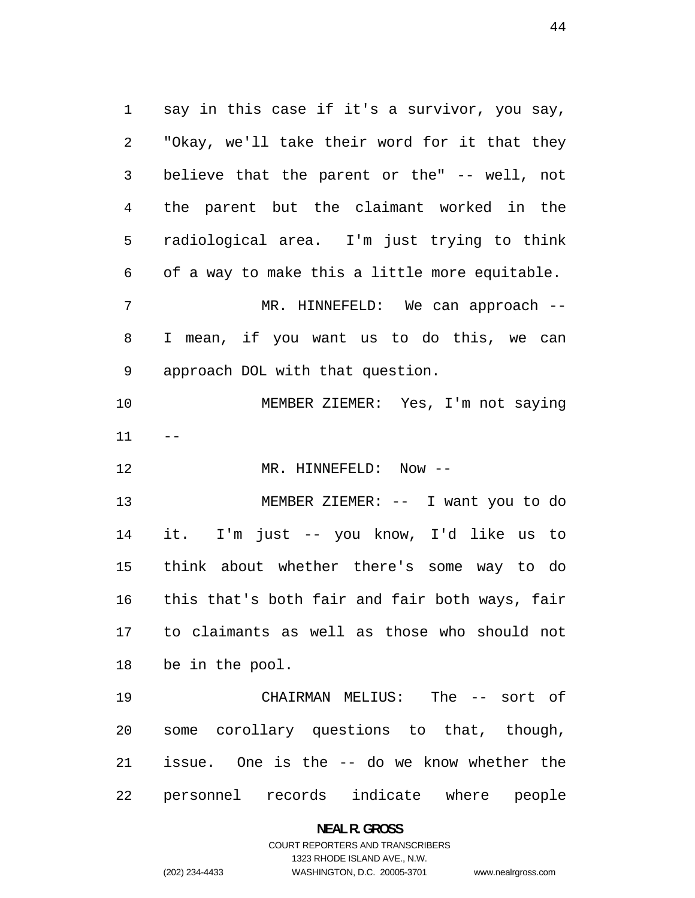say in this case if it's a survivor, you say, "Okay, we'll take their word for it that they believe that the parent or the" -- well, not the parent but the claimant worked in the radiological area. I'm just trying to think of a way to make this a little more equitable. MR. HINNEFELD: We can approach -- I mean, if you want us to do this, we can approach DOL with that question. MEMBER ZIEMER: Yes, I'm not saying 12 MR. HINNEFELD: Now --MEMBER ZIEMER: -- I want you to do it. I'm just -- you know, I'd like us to think about whether there's some way to do this that's both fair and fair both ways, fair to claimants as well as those who should not be in the pool. CHAIRMAN MELIUS: The -- sort of some corollary questions to that, though, issue. One is the -- do we know whether the

personnel records indicate where people

**NEAL R. GROSS** 

#### COURT REPORTERS AND TRANSCRIBERS 1323 RHODE ISLAND AVE., N.W. (202) 234-4433 WASHINGTON, D.C. 20005-3701 www.nealrgross.com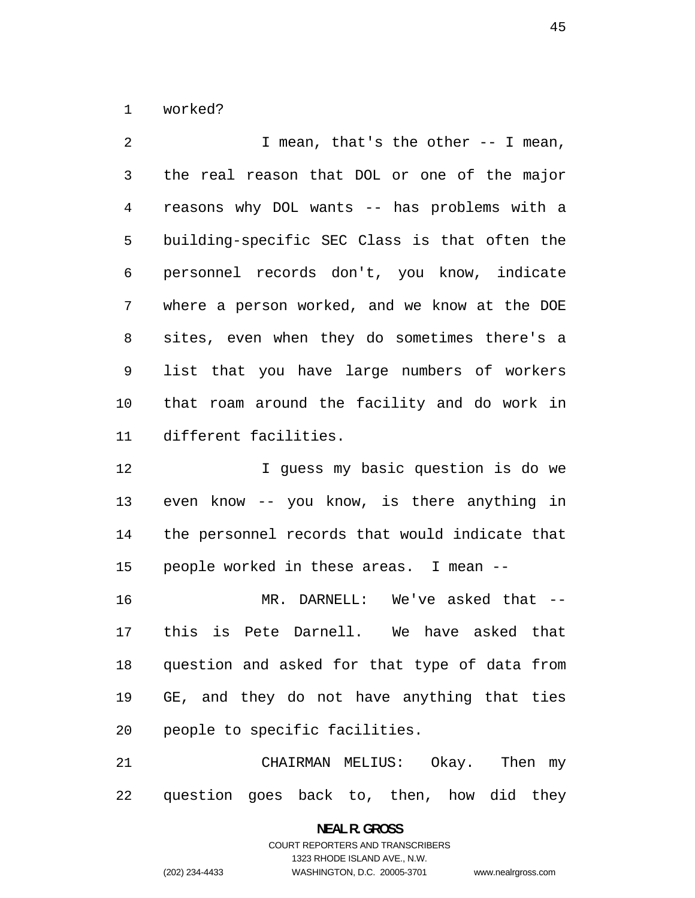worked?

2 I mean, that's the other -- I mean, the real reason that DOL or one of the major reasons why DOL wants -- has problems with a building-specific SEC Class is that often the personnel records don't, you know, indicate where a person worked, and we know at the DOE sites, even when they do sometimes there's a list that you have large numbers of workers that roam around the facility and do work in different facilities.

12 12 I quess my basic question is do we even know -- you know, is there anything in the personnel records that would indicate that people worked in these areas. I mean --

MR. DARNELL: We've asked that -- this is Pete Darnell. We have asked that question and asked for that type of data from GE, and they do not have anything that ties people to specific facilities.

CHAIRMAN MELIUS: Okay. Then my question goes back to, then, how did they

> **NEAL R. GROSS**  COURT REPORTERS AND TRANSCRIBERS 1323 RHODE ISLAND AVE., N.W. (202) 234-4433 WASHINGTON, D.C. 20005-3701 www.nealrgross.com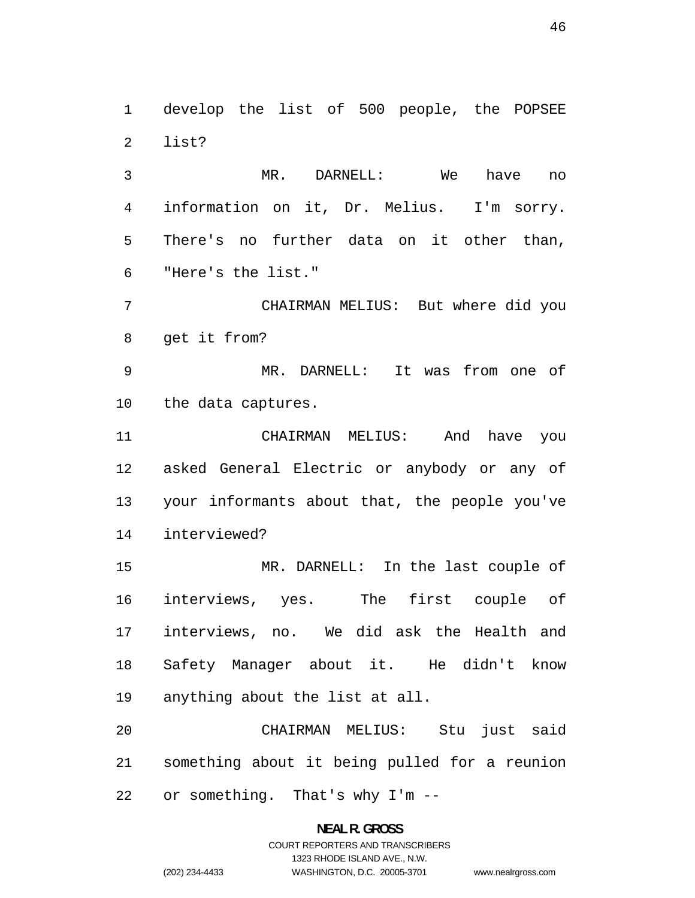develop the list of 500 people, the POPSEE list?

MR. DARNELL: We have no information on it, Dr. Melius. I'm sorry. There's no further data on it other than, "Here's the list."

CHAIRMAN MELIUS: But where did you get it from?

MR. DARNELL: It was from one of the data captures.

CHAIRMAN MELIUS: And have you asked General Electric or anybody or any of your informants about that, the people you've interviewed?

MR. DARNELL: In the last couple of interviews, yes. The first couple of interviews, no. We did ask the Health and Safety Manager about it. He didn't know anything about the list at all.

CHAIRMAN MELIUS: Stu just said something about it being pulled for a reunion or something. That's why I'm --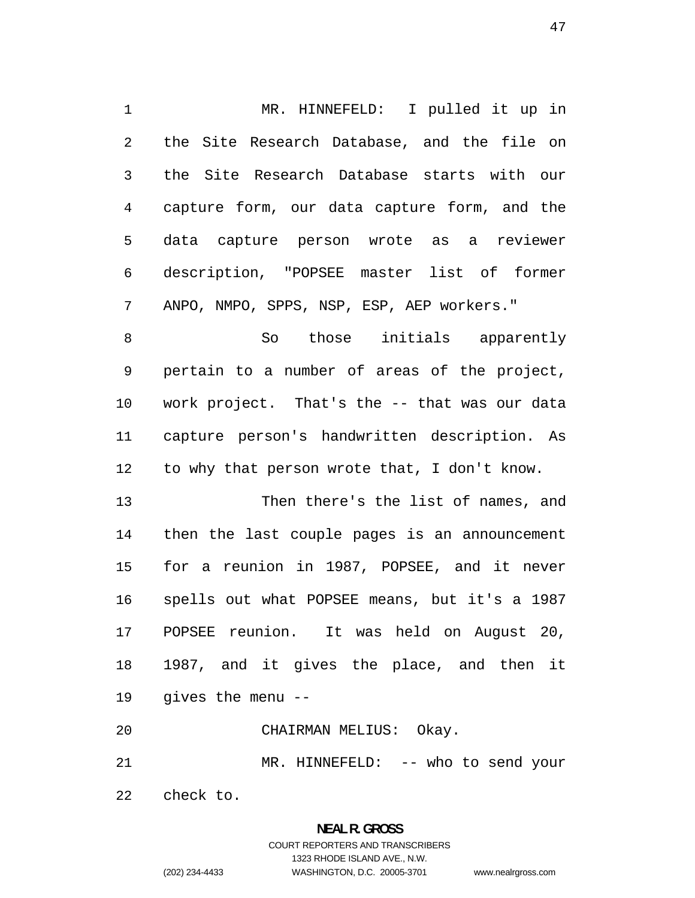MR. HINNEFELD: I pulled it up in the Site Research Database, and the file on the Site Research Database starts with our capture form, our data capture form, and the data capture person wrote as a reviewer description, "POPSEE master list of former ANPO, NMPO, SPPS, NSP, ESP, AEP workers."

So those initials apparently pertain to a number of areas of the project, work project. That's the -- that was our data capture person's handwritten description. As to why that person wrote that, I don't know.

Then there's the list of names, and then the last couple pages is an announcement for a reunion in 1987, POPSEE, and it never spells out what POPSEE means, but it's a 1987 POPSEE reunion. It was held on August 20, 1987, and it gives the place, and then it gives the menu --

CHAIRMAN MELIUS: Okay.

MR. HINNEFELD: -- who to send your

check to.

# **NEAL R. GROSS**  COURT REPORTERS AND TRANSCRIBERS 1323 RHODE ISLAND AVE., N.W. (202) 234-4433 WASHINGTON, D.C. 20005-3701 www.nealrgross.com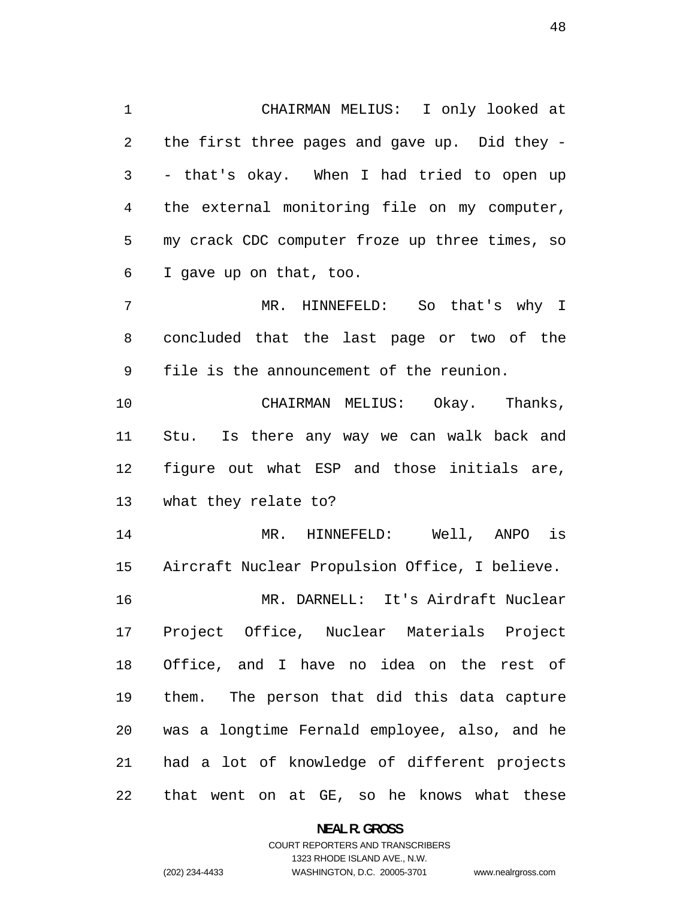CHAIRMAN MELIUS: I only looked at the first three pages and gave up. Did they - - that's okay. When I had tried to open up the external monitoring file on my computer, my crack CDC computer froze up three times, so I gave up on that, too.

MR. HINNEFELD: So that's why I concluded that the last page or two of the file is the announcement of the reunion.

CHAIRMAN MELIUS: Okay. Thanks, Stu. Is there any way we can walk back and figure out what ESP and those initials are, what they relate to?

MR. HINNEFELD: Well, ANPO is Aircraft Nuclear Propulsion Office, I believe. MR. DARNELL: It's Airdraft Nuclear Project Office, Nuclear Materials Project Office, and I have no idea on the rest of them. The person that did this data capture was a longtime Fernald employee, also, and he had a lot of knowledge of different projects that went on at GE, so he knows what these

> **NEAL R. GROSS**  COURT REPORTERS AND TRANSCRIBERS 1323 RHODE ISLAND AVE., N.W. (202) 234-4433 WASHINGTON, D.C. 20005-3701 www.nealrgross.com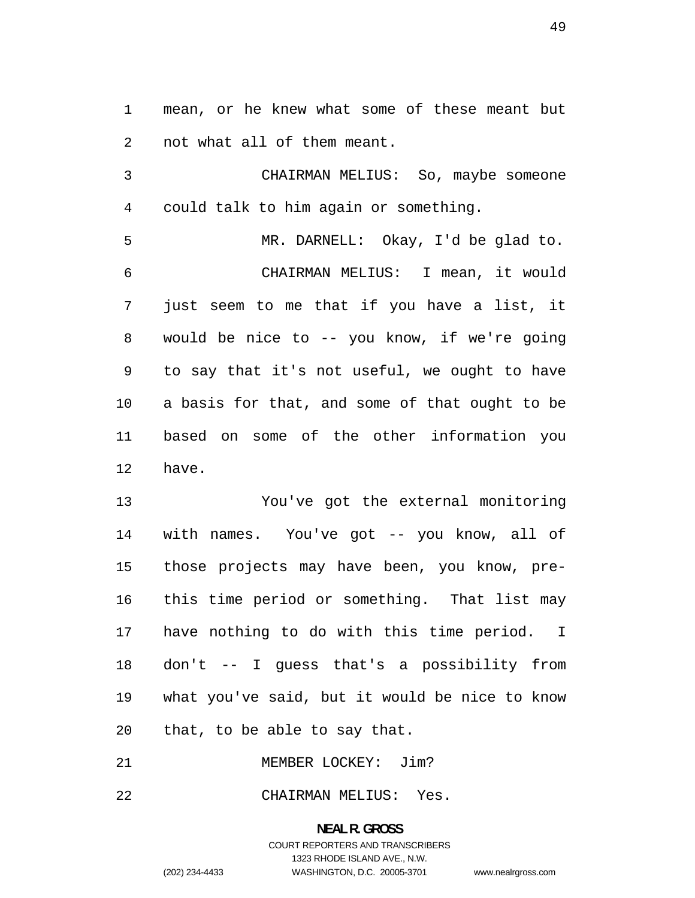mean, or he knew what some of these meant but not what all of them meant.

CHAIRMAN MELIUS: So, maybe someone could talk to him again or something.

MR. DARNELL: Okay, I'd be glad to. CHAIRMAN MELIUS: I mean, it would just seem to me that if you have a list, it would be nice to -- you know, if we're going to say that it's not useful, we ought to have a basis for that, and some of that ought to be based on some of the other information you have.

You've got the external monitoring with names. You've got -- you know, all of those projects may have been, you know, pre-this time period or something. That list may have nothing to do with this time period. I don't -- I guess that's a possibility from what you've said, but it would be nice to know that, to be able to say that.

MEMBER LOCKEY: Jim?

CHAIRMAN MELIUS: Yes.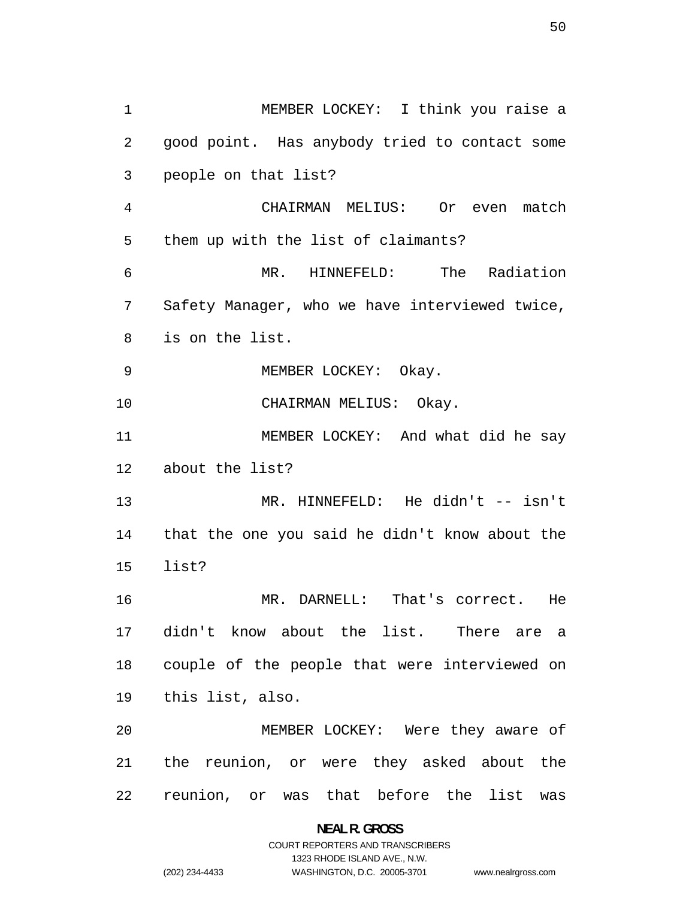MEMBER LOCKEY: I think you raise a good point. Has anybody tried to contact some people on that list? CHAIRMAN MELIUS: Or even match them up with the list of claimants? MR. HINNEFELD: The Radiation Safety Manager, who we have interviewed twice, is on the list. 9 MEMBER LOCKEY: Okay. CHAIRMAN MELIUS: Okay. MEMBER LOCKEY: And what did he say about the list? MR. HINNEFELD: He didn't -- isn't that the one you said he didn't know about the list? MR. DARNELL: That's correct. He didn't know about the list. There are a couple of the people that were interviewed on this list, also. MEMBER LOCKEY: Were they aware of the reunion, or were they asked about the reunion, or was that before the list was

> **NEAL R. GROSS**  COURT REPORTERS AND TRANSCRIBERS 1323 RHODE ISLAND AVE., N.W. (202) 234-4433 WASHINGTON, D.C. 20005-3701 www.nealrgross.com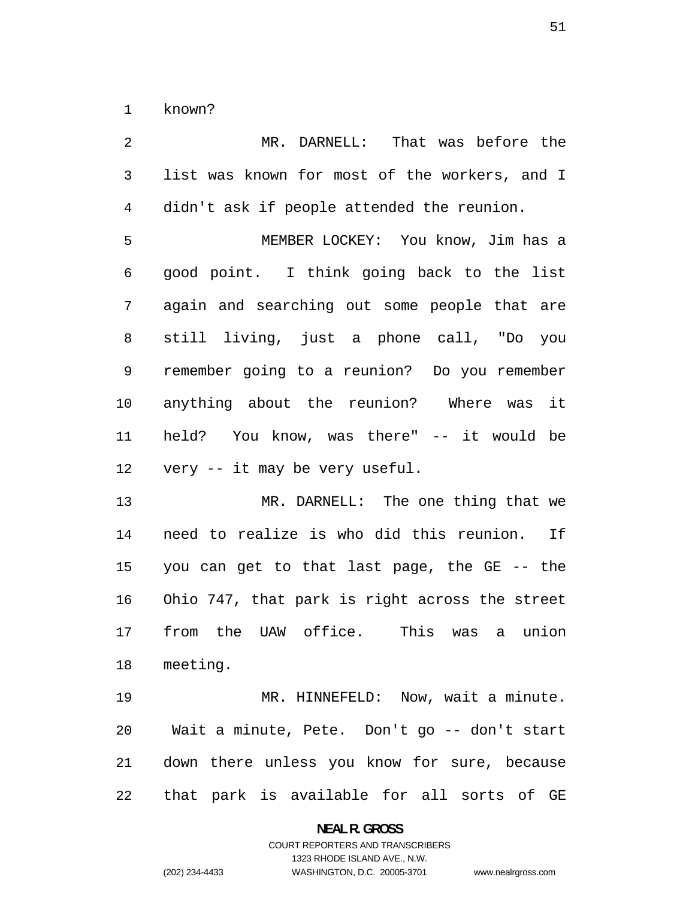known?

MR. DARNELL: That was before the list was known for most of the workers, and I didn't ask if people attended the reunion. MEMBER LOCKEY: You know, Jim has a good point. I think going back to the list again and searching out some people that are still living, just a phone call, "Do you remember going to a reunion? Do you remember anything about the reunion? Where was it held? You know, was there" -- it would be very -- it may be very useful. MR. DARNELL: The one thing that we need to realize is who did this reunion. If you can get to that last page, the GE -- the

Ohio 747, that park is right across the street from the UAW office. This was a union meeting.

MR. HINNEFELD: Now, wait a minute. Wait a minute, Pete. Don't go -- don't start down there unless you know for sure, because that park is available for all sorts of GE

**NEAL R. GROSS**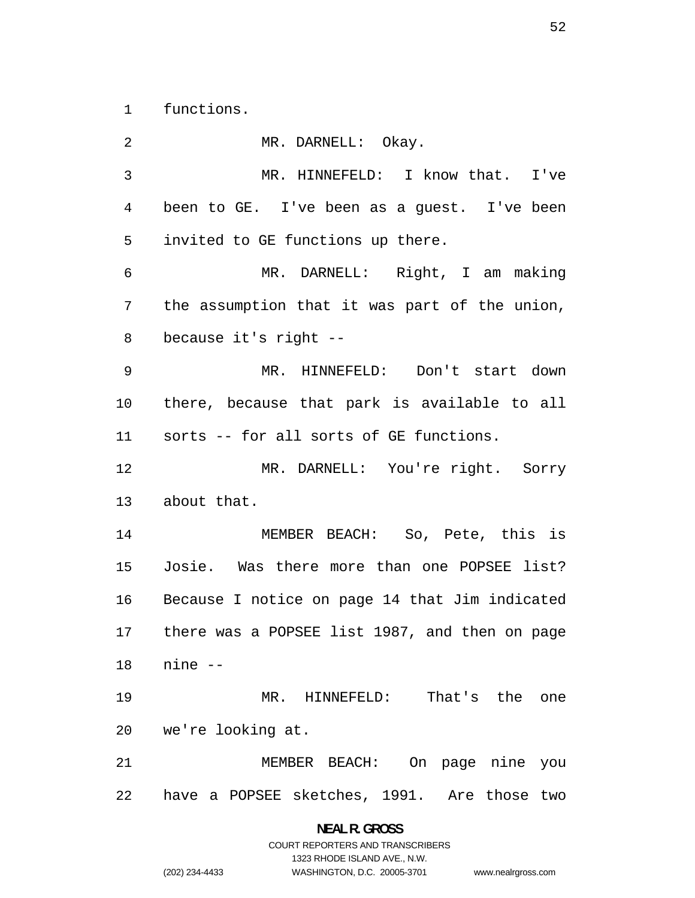functions.

MR. DARNELL: Okay. MR. HINNEFELD: I know that. I've been to GE. I've been as a guest. I've been invited to GE functions up there. MR. DARNELL: Right, I am making the assumption that it was part of the union, because it's right -- MR. HINNEFELD: Don't start down there, because that park is available to all sorts -- for all sorts of GE functions. MR. DARNELL: You're right. Sorry about that. MEMBER BEACH: So, Pete, this is Josie. Was there more than one POPSEE list? Because I notice on page 14 that Jim indicated there was a POPSEE list 1987, and then on page nine -- MR. HINNEFELD: That's the one we're looking at. MEMBER BEACH: On page nine you have a POPSEE sketches, 1991. Are those two

> **NEAL R. GROSS**  COURT REPORTERS AND TRANSCRIBERS 1323 RHODE ISLAND AVE., N.W. (202) 234-4433 WASHINGTON, D.C. 20005-3701 www.nealrgross.com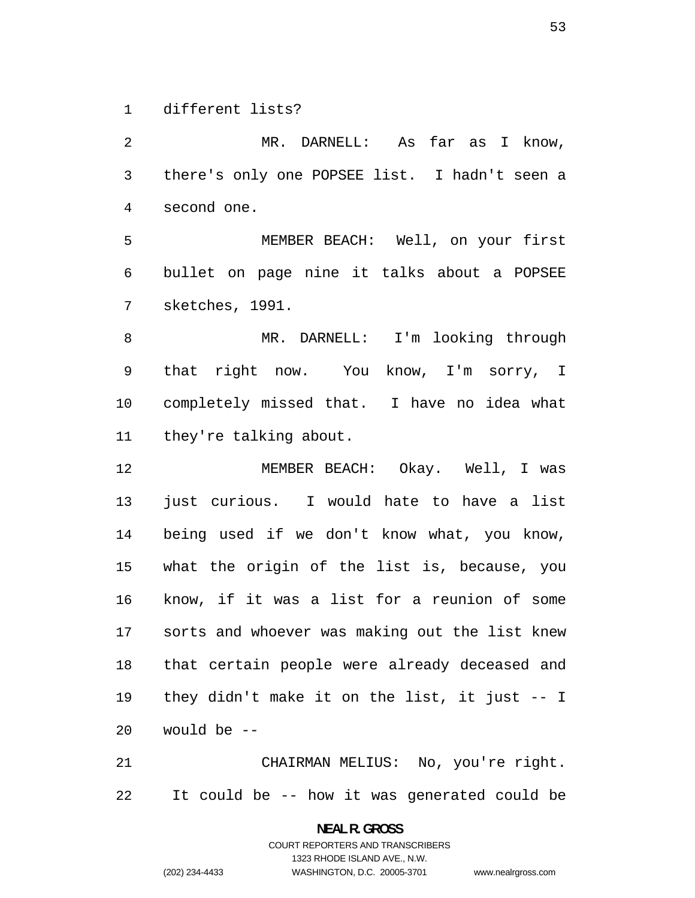different lists?

MR. DARNELL: As far as I know, there's only one POPSEE list. I hadn't seen a second one.

MEMBER BEACH: Well, on your first bullet on page nine it talks about a POPSEE sketches, 1991.

MR. DARNELL: I'm looking through that right now. You know, I'm sorry, I completely missed that. I have no idea what they're talking about.

MEMBER BEACH: Okay. Well, I was just curious. I would hate to have a list being used if we don't know what, you know, what the origin of the list is, because, you know, if it was a list for a reunion of some sorts and whoever was making out the list knew that certain people were already deceased and they didn't make it on the list, it just -- I would be --

CHAIRMAN MELIUS: No, you're right. It could be -- how it was generated could be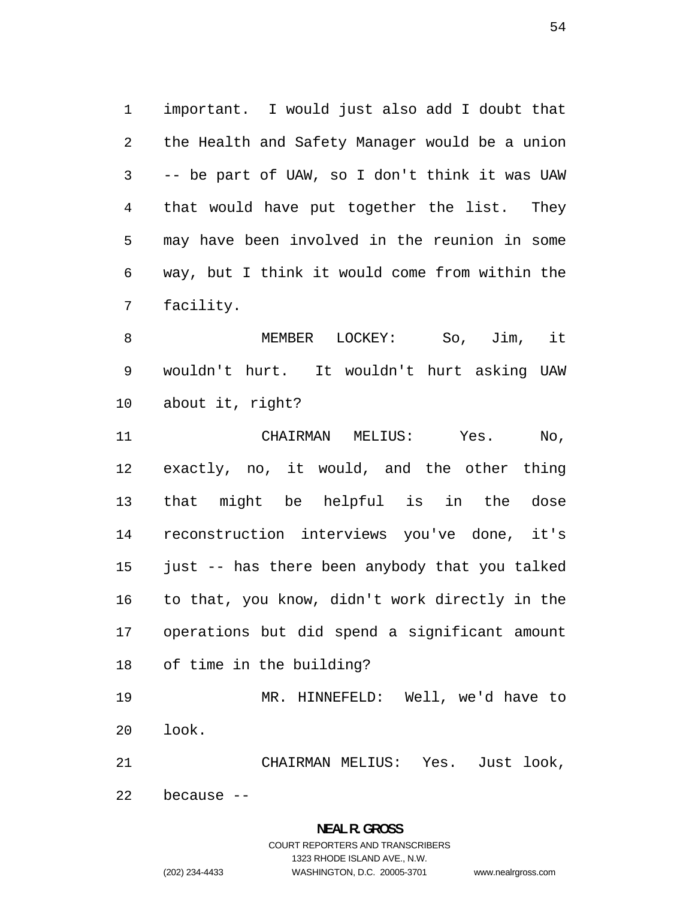important. I would just also add I doubt that the Health and Safety Manager would be a union -- be part of UAW, so I don't think it was UAW that would have put together the list. They may have been involved in the reunion in some way, but I think it would come from within the facility.

MEMBER LOCKEY: So, Jim, it wouldn't hurt. It wouldn't hurt asking UAW about it, right?

CHAIRMAN MELIUS: Yes. No, exactly, no, it would, and the other thing that might be helpful is in the dose reconstruction interviews you've done, it's just -- has there been anybody that you talked to that, you know, didn't work directly in the operations but did spend a significant amount of time in the building?

MR. HINNEFELD: Well, we'd have to look.

CHAIRMAN MELIUS: Yes. Just look,

because --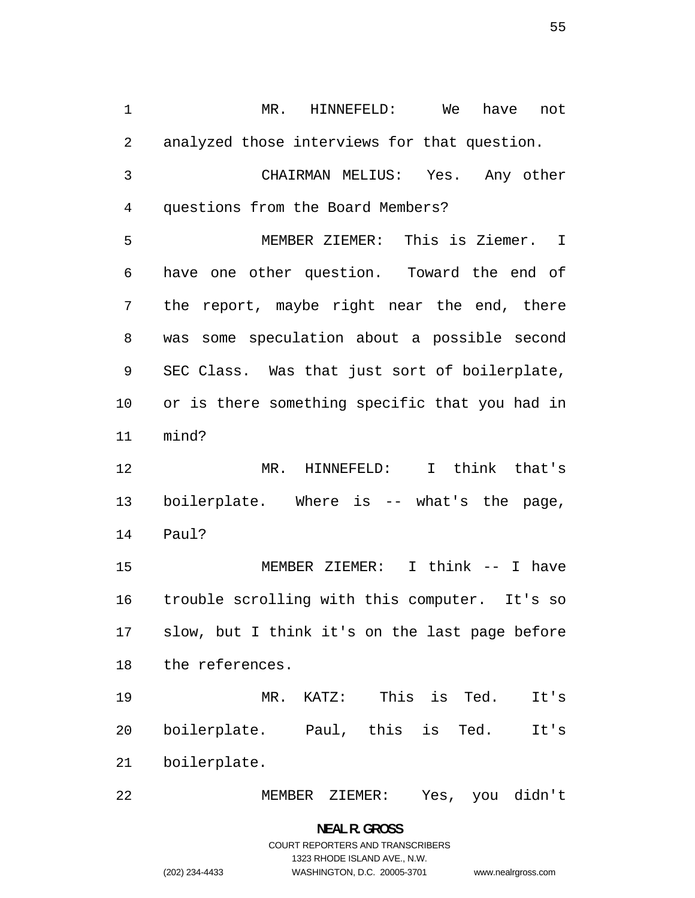MR. HINNEFELD: We have not analyzed those interviews for that question. CHAIRMAN MELIUS: Yes. Any other

questions from the Board Members? MEMBER ZIEMER: This is Ziemer. I have one other question. Toward the end of the report, maybe right near the end, there was some speculation about a possible second SEC Class. Was that just sort of boilerplate, or is there something specific that you had in mind?

MR. HINNEFELD: I think that's boilerplate. Where is -- what's the page, Paul?

MEMBER ZIEMER: I think -- I have trouble scrolling with this computer. It's so slow, but I think it's on the last page before the references.

MR. KATZ: This is Ted. It's boilerplate. Paul, this is Ted. It's boilerplate.

MEMBER ZIEMER: Yes, you didn't

# **NEAL R. GROSS**  COURT REPORTERS AND TRANSCRIBERS 1323 RHODE ISLAND AVE., N.W. (202) 234-4433 WASHINGTON, D.C. 20005-3701 www.nealrgross.com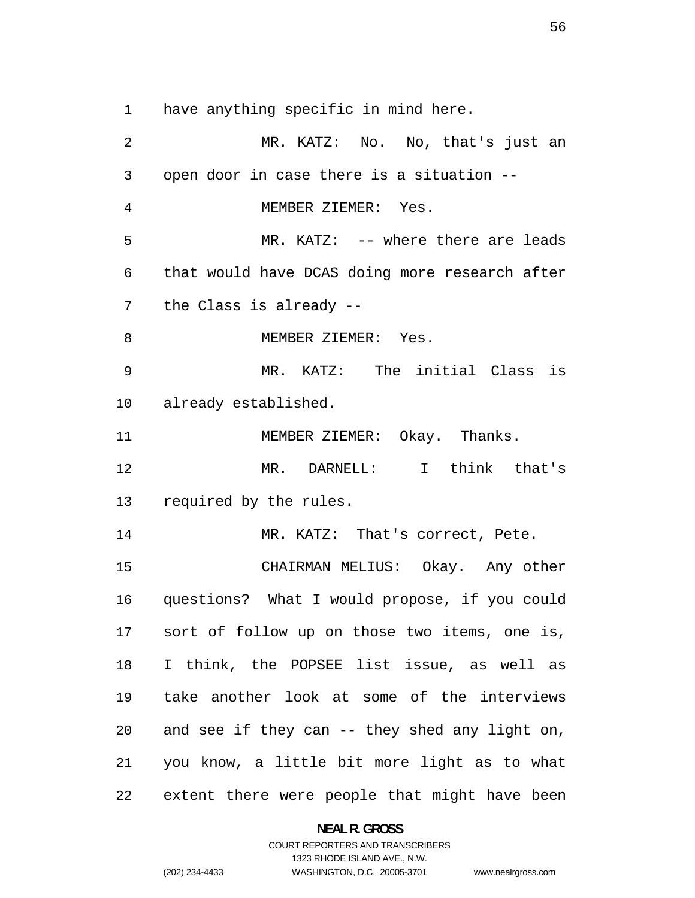have anything specific in mind here.

MR. KATZ: No. No, that's just an open door in case there is a situation -- MEMBER ZIEMER: Yes. MR. KATZ: -- where there are leads that would have DCAS doing more research after the Class is already -- 8 MEMBER ZIEMER: Yes. MR. KATZ: The initial Class is already established. 11 MEMBER ZIEMER: Okay. Thanks. MR. DARNELL: I think that's required by the rules. 14 MR. KATZ: That's correct, Pete. CHAIRMAN MELIUS: Okay. Any other questions? What I would propose, if you could sort of follow up on those two items, one is, I think, the POPSEE list issue, as well as take another look at some of the interviews and see if they can -- they shed any light on, you know, a little bit more light as to what extent there were people that might have been

> **NEAL R. GROSS**  COURT REPORTERS AND TRANSCRIBERS

> > 1323 RHODE ISLAND AVE., N.W.

(202) 234-4433 WASHINGTON, D.C. 20005-3701 www.nealrgross.com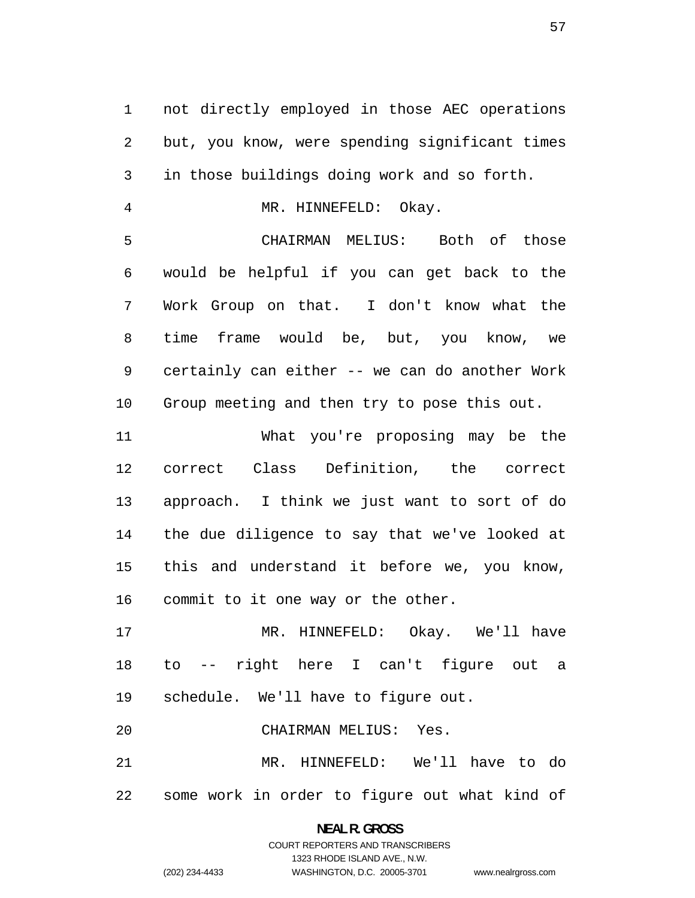not directly employed in those AEC operations but, you know, were spending significant times in those buildings doing work and so forth.

MR. HINNEFELD: Okay.

CHAIRMAN MELIUS: Both of those would be helpful if you can get back to the Work Group on that. I don't know what the time frame would be, but, you know, we certainly can either -- we can do another Work Group meeting and then try to pose this out.

What you're proposing may be the correct Class Definition, the correct approach. I think we just want to sort of do the due diligence to say that we've looked at this and understand it before we, you know, commit to it one way or the other.

MR. HINNEFELD: Okay. We'll have to -- right here I can't figure out a schedule. We'll have to figure out.

CHAIRMAN MELIUS: Yes.

MR. HINNEFELD: We'll have to do some work in order to figure out what kind of

# **NEAL R. GROSS**  COURT REPORTERS AND TRANSCRIBERS 1323 RHODE ISLAND AVE., N.W. (202) 234-4433 WASHINGTON, D.C. 20005-3701 www.nealrgross.com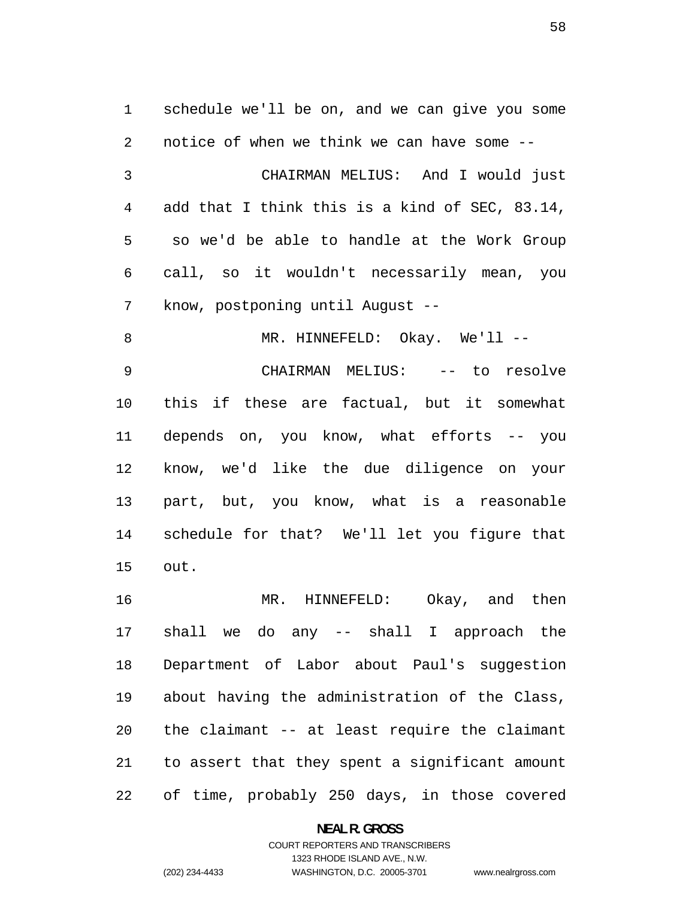schedule we'll be on, and we can give you some notice of when we think we can have some -- CHAIRMAN MELIUS: And I would just add that I think this is a kind of SEC, 83.14, so we'd be able to handle at the Work Group call, so it wouldn't necessarily mean, you know, postponing until August -- 8 MR. HINNEFELD: Okay. We'll --CHAIRMAN MELIUS: -- to resolve this if these are factual, but it somewhat depends on, you know, what efforts -- you know, we'd like the due diligence on your part, but, you know, what is a reasonable schedule for that? We'll let you figure that out. MR. HINNEFELD: Okay, and then

shall we do any -- shall I approach the Department of Labor about Paul's suggestion about having the administration of the Class, the claimant -- at least require the claimant to assert that they spent a significant amount of time, probably 250 days, in those covered

**NEAL R. GROSS**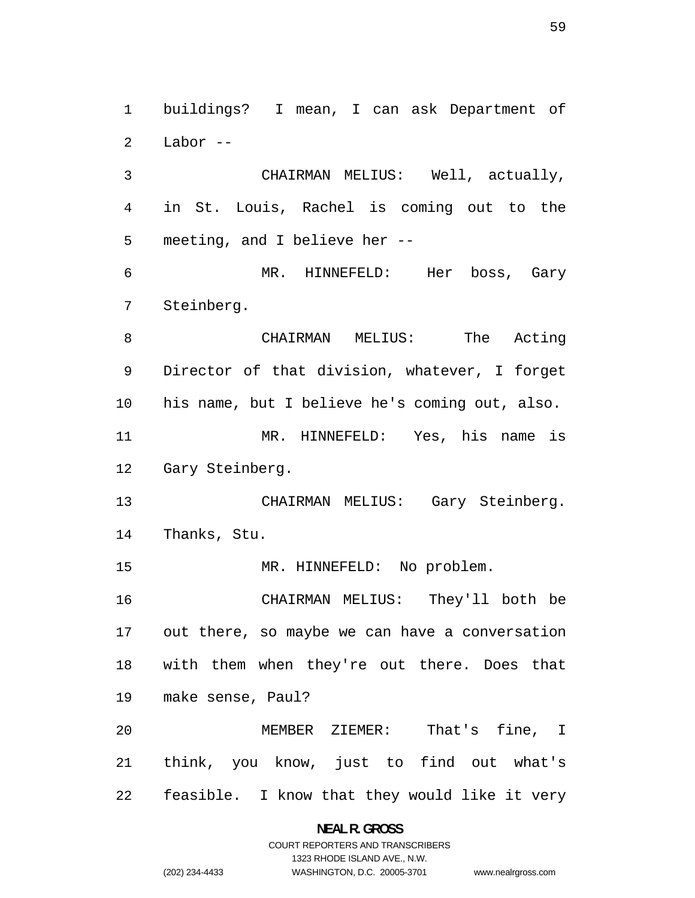buildings? I mean, I can ask Department of Labor --

CHAIRMAN MELIUS: Well, actually, in St. Louis, Rachel is coming out to the meeting, and I believe her --

MR. HINNEFELD: Her boss, Gary Steinberg.

CHAIRMAN MELIUS: The Acting Director of that division, whatever, I forget his name, but I believe he's coming out, also. MR. HINNEFELD: Yes, his name is Gary Steinberg.

CHAIRMAN MELIUS: Gary Steinberg. Thanks, Stu.

MR. HINNEFELD: No problem.

CHAIRMAN MELIUS: They'll both be out there, so maybe we can have a conversation with them when they're out there. Does that make sense, Paul?

MEMBER ZIEMER: That's fine, I think, you know, just to find out what's feasible. I know that they would like it very

#### **NEAL R. GROSS**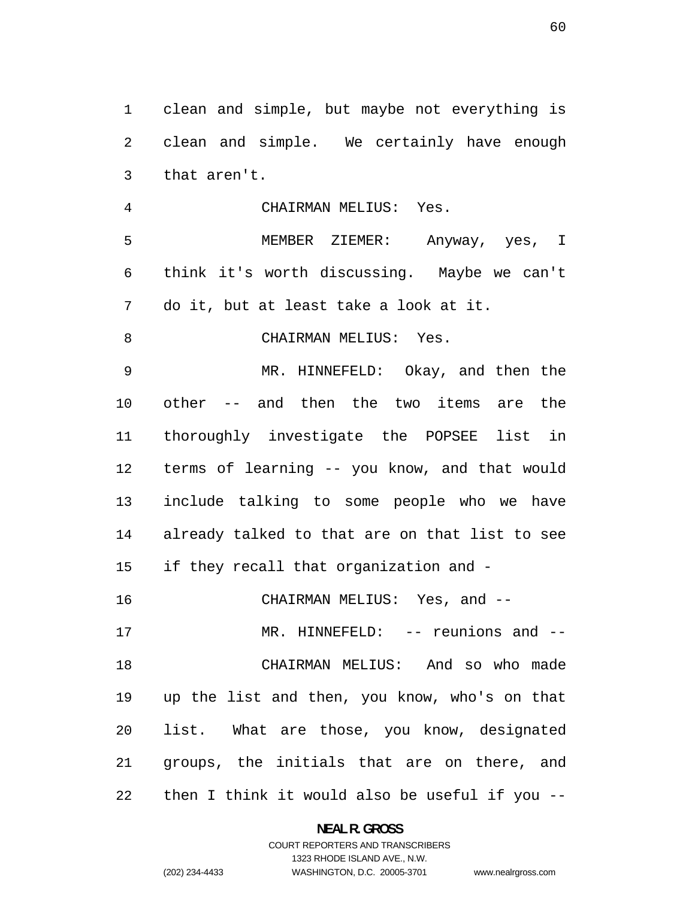clean and simple, but maybe not everything is clean and simple. We certainly have enough that aren't.

CHAIRMAN MELIUS: Yes.

MEMBER ZIEMER: Anyway, yes, I think it's worth discussing. Maybe we can't do it, but at least take a look at it.

CHAIRMAN MELIUS: Yes.

MR. HINNEFELD: Okay, and then the other -- and then the two items are the thoroughly investigate the POPSEE list in terms of learning -- you know, and that would include talking to some people who we have already talked to that are on that list to see if they recall that organization and -

CHAIRMAN MELIUS: Yes, and --

MR. HINNEFELD: -- reunions and -- CHAIRMAN MELIUS: And so who made up the list and then, you know, who's on that list. What are those, you know, designated groups, the initials that are on there, and then I think it would also be useful if you --

**NEAL R. GROSS**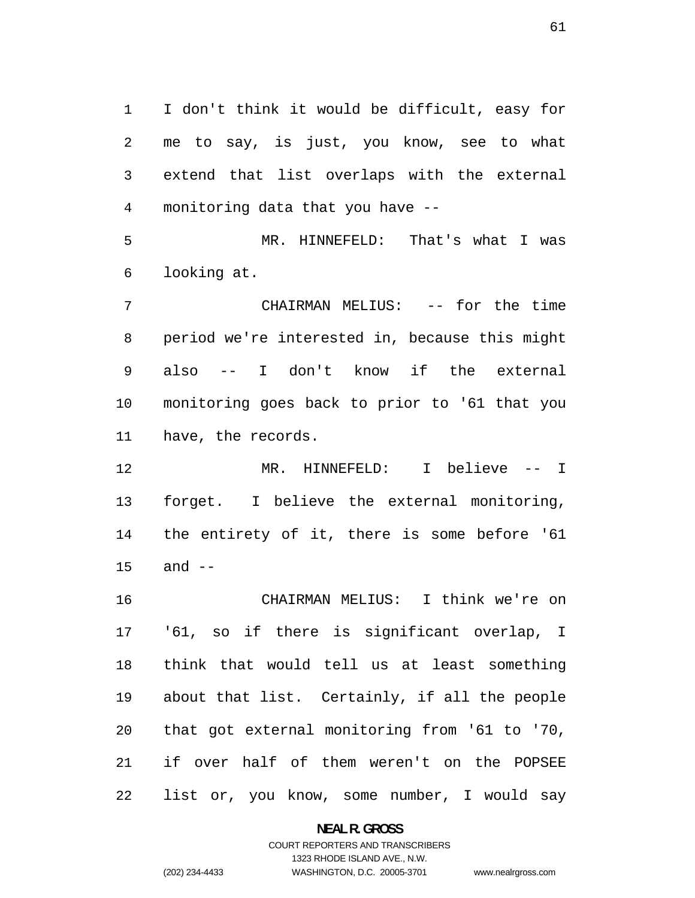I don't think it would be difficult, easy for me to say, is just, you know, see to what extend that list overlaps with the external monitoring data that you have --

MR. HINNEFELD: That's what I was looking at.

CHAIRMAN MELIUS: -- for the time period we're interested in, because this might also -- I don't know if the external monitoring goes back to prior to '61 that you have, the records.

MR. HINNEFELD: I believe -- I forget. I believe the external monitoring, the entirety of it, there is some before '61 and --

CHAIRMAN MELIUS: I think we're on '61, so if there is significant overlap, I think that would tell us at least something about that list. Certainly, if all the people that got external monitoring from '61 to '70, if over half of them weren't on the POPSEE list or, you know, some number, I would say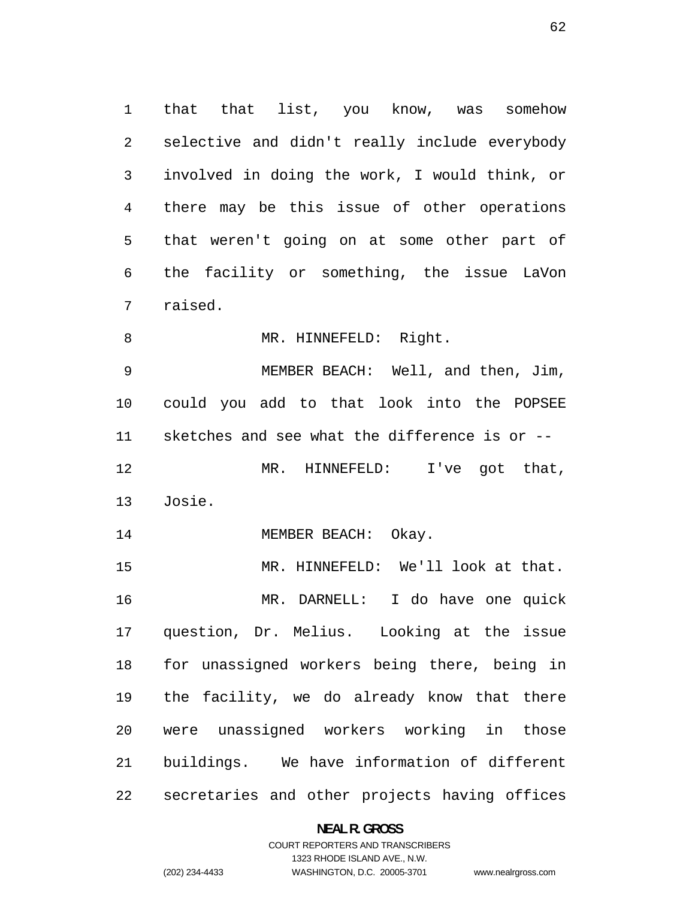that that list, you know, was somehow selective and didn't really include everybody involved in doing the work, I would think, or there may be this issue of other operations that weren't going on at some other part of the facility or something, the issue LaVon raised.

8 MR. HINNEFELD: Right.

MEMBER BEACH: Well, and then, Jim, could you add to that look into the POPSEE sketches and see what the difference is or -- 12 MR. HINNEFELD: I've got that, Josie.

14 MEMBER BEACH: Okay.

MR. HINNEFELD: We'll look at that. MR. DARNELL: I do have one quick question, Dr. Melius. Looking at the issue for unassigned workers being there, being in the facility, we do already know that there were unassigned workers working in those buildings. We have information of different secretaries and other projects having offices

#### **NEAL R. GROSS**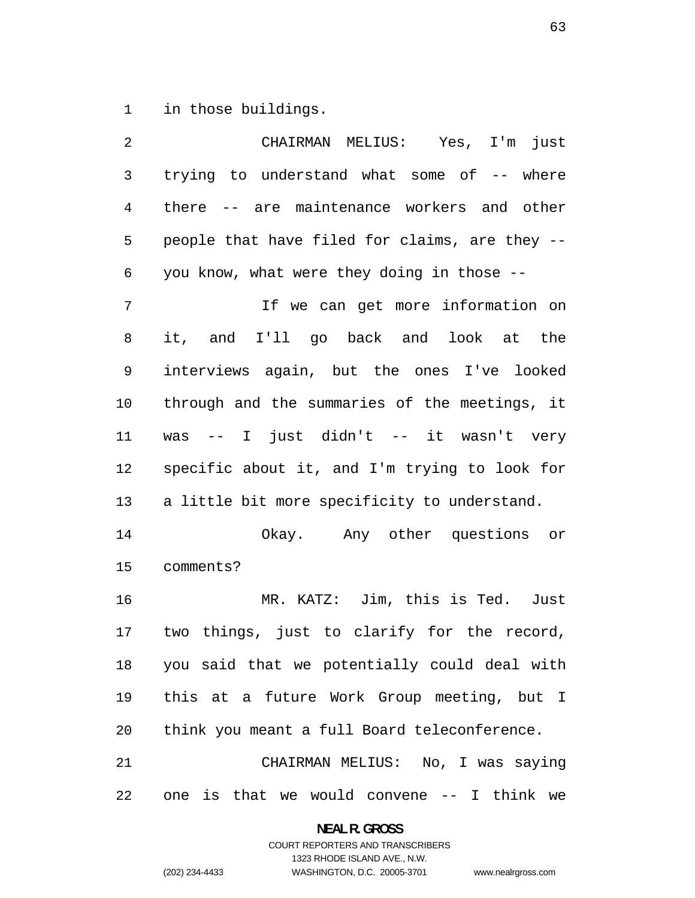in those buildings.

| 2              | CHAIRMAN MELIUS: Yes, I'm just                 |
|----------------|------------------------------------------------|
| $\mathsf 3$    | trying to understand what some of -- where     |
| $\overline{4}$ | there -- are maintenance workers and other     |
| 5              | people that have filed for claims, are they -- |
| 6              | you know, what were they doing in those --     |
| 7              | If we can get more information on              |
| 8              | it, and I'll go back and look at the           |
| 9              | interviews again, but the ones I've looked     |
| 10             | through and the summaries of the meetings, it  |
| 11             | was -- I just didn't -- it wasn't very         |
| 12             | specific about it, and I'm trying to look for  |
| 13             | a little bit more specificity to understand.   |
| 14             | Okay. Any other questions or                   |
| 15             | comments?                                      |
| 16             | MR. KATZ: Jim, this is Ted.<br>Just            |
| 17             | two things, just to clarify for the record,    |
| 18             | you said that we potentially could deal with   |
| 19             | this at a future Work Group meeting, but I     |
| 20             | think you meant a full Board teleconference.   |
| 21             | CHAIRMAN MELIUS: No, I was saying              |
| 22             | one is that we would convene $-$ I think we    |

**NEAL R. GROSS**  COURT REPORTERS AND TRANSCRIBERS

1323 RHODE ISLAND AVE., N.W.

(202) 234-4433 WASHINGTON, D.C. 20005-3701

www.nealrgross.com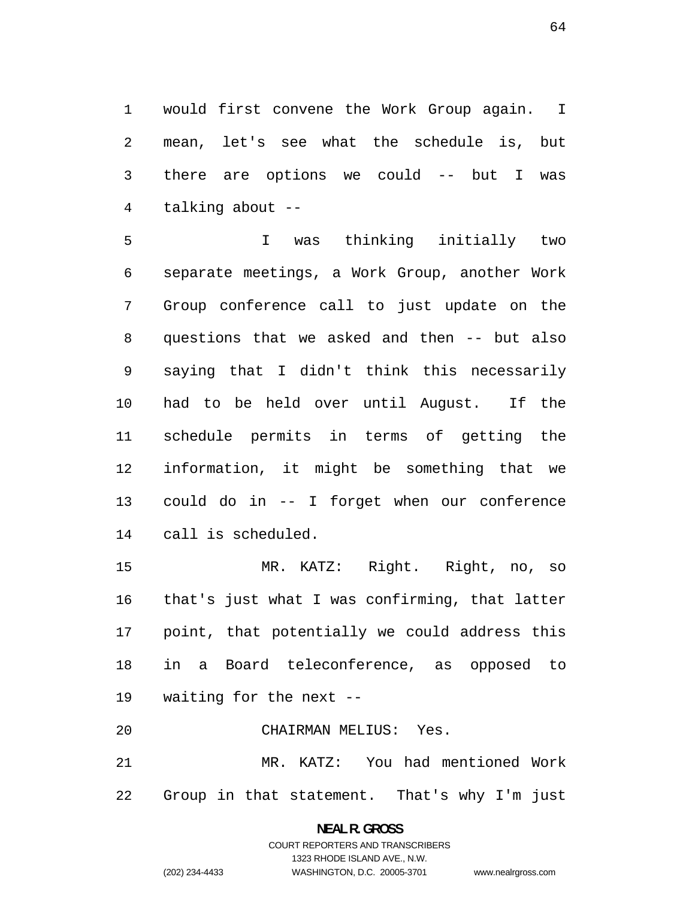would first convene the Work Group again. I mean, let's see what the schedule is, but there are options we could -- but I was talking about --

I was thinking initially two separate meetings, a Work Group, another Work Group conference call to just update on the questions that we asked and then -- but also saying that I didn't think this necessarily had to be held over until August. If the schedule permits in terms of getting the information, it might be something that we could do in -- I forget when our conference call is scheduled.

MR. KATZ: Right. Right, no, so that's just what I was confirming, that latter point, that potentially we could address this in a Board teleconference, as opposed to waiting for the next --

CHAIRMAN MELIUS: Yes.

MR. KATZ: You had mentioned Work Group in that statement. That's why I'm just

> **NEAL R. GROSS**  COURT REPORTERS AND TRANSCRIBERS 1323 RHODE ISLAND AVE., N.W. (202) 234-4433 WASHINGTON, D.C. 20005-3701

www.nealrgross.com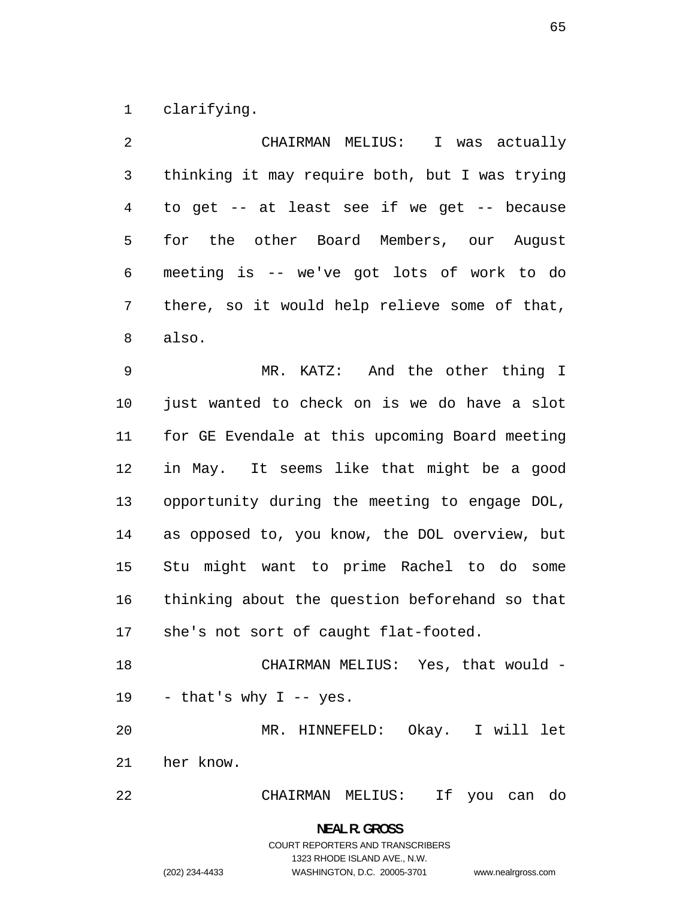clarifying.

| 2              | CHAIRMAN MELIUS:<br>I was actually             |
|----------------|------------------------------------------------|
| 3              | thinking it may require both, but I was trying |
| $\overline{4}$ | to get -- at least see if we get -- because    |
| 5              | for the other Board Members, our August        |
| 6              | meeting is -- we've got lots of work to do     |
| 7              | there, so it would help relieve some of that,  |
| 8              | also.                                          |
| 9              | MR. KATZ: And the other thing I                |
| 10             | just wanted to check on is we do have a slot   |
| 11             | for GE Evendale at this upcoming Board meeting |
| 12             | in May. It seems like that might be a good     |
| 13             | opportunity during the meeting to engage DOL,  |
| 14             | as opposed to, you know, the DOL overview, but |
| 15             | Stu might want to prime Rachel to do some      |
| 16             | thinking about the question beforehand so that |
| 17             | she's not sort of caught flat-footed.          |
| 18             | CHAIRMAN MELIUS: Yes, that would -             |
| 19             | - that's why I -- yes.                         |
| 20             | MR. HINNEFELD: Okay. I will let                |
| 21             | her know.                                      |
| 22             | CHAIRMAN MELIUS: If you can do                 |

**NEAL R. GROSS**  COURT REPORTERS AND TRANSCRIBERS 1323 RHODE ISLAND AVE., N.W. (202) 234-4433 WASHINGTON, D.C. 20005-3701

www.nealrgross.com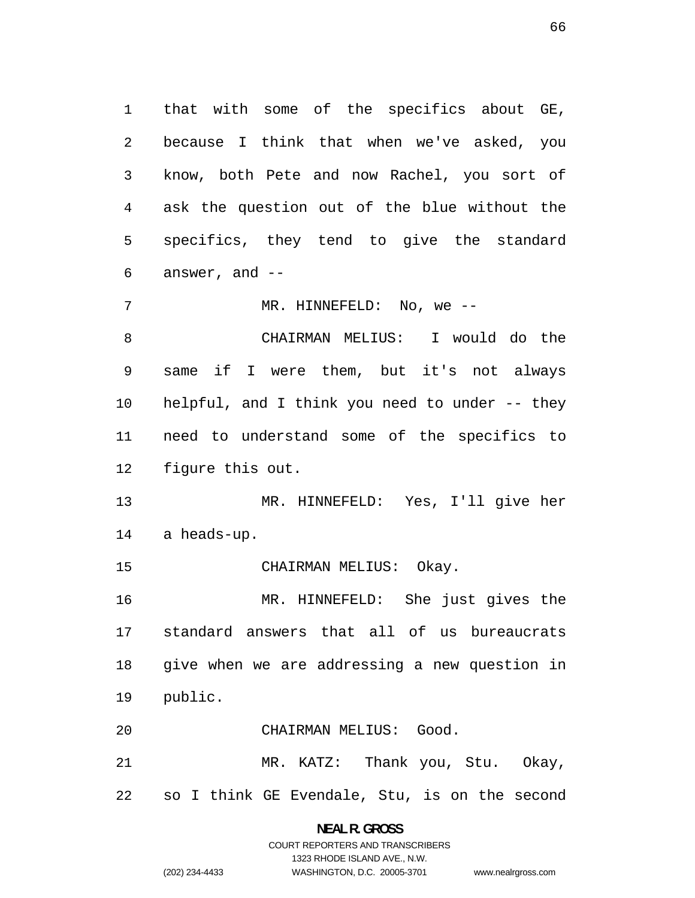that with some of the specifics about GE, because I think that when we've asked, you know, both Pete and now Rachel, you sort of ask the question out of the blue without the specifics, they tend to give the standard answer, and --

7 MR. HINNEFELD: No, we --

CHAIRMAN MELIUS: I would do the same if I were them, but it's not always helpful, and I think you need to under -- they need to understand some of the specifics to figure this out.

MR. HINNEFELD: Yes, I'll give her a heads-up.

15 CHAIRMAN MELIUS: Okay.

MR. HINNEFELD: She just gives the standard answers that all of us bureaucrats give when we are addressing a new question in public.

CHAIRMAN MELIUS: Good.

MR. KATZ: Thank you, Stu. Okay, so I think GE Evendale, Stu, is on the second

> **NEAL R. GROSS**  COURT REPORTERS AND TRANSCRIBERS 1323 RHODE ISLAND AVE., N.W. (202) 234-4433 WASHINGTON, D.C. 20005-3701 www.nealrgross.com